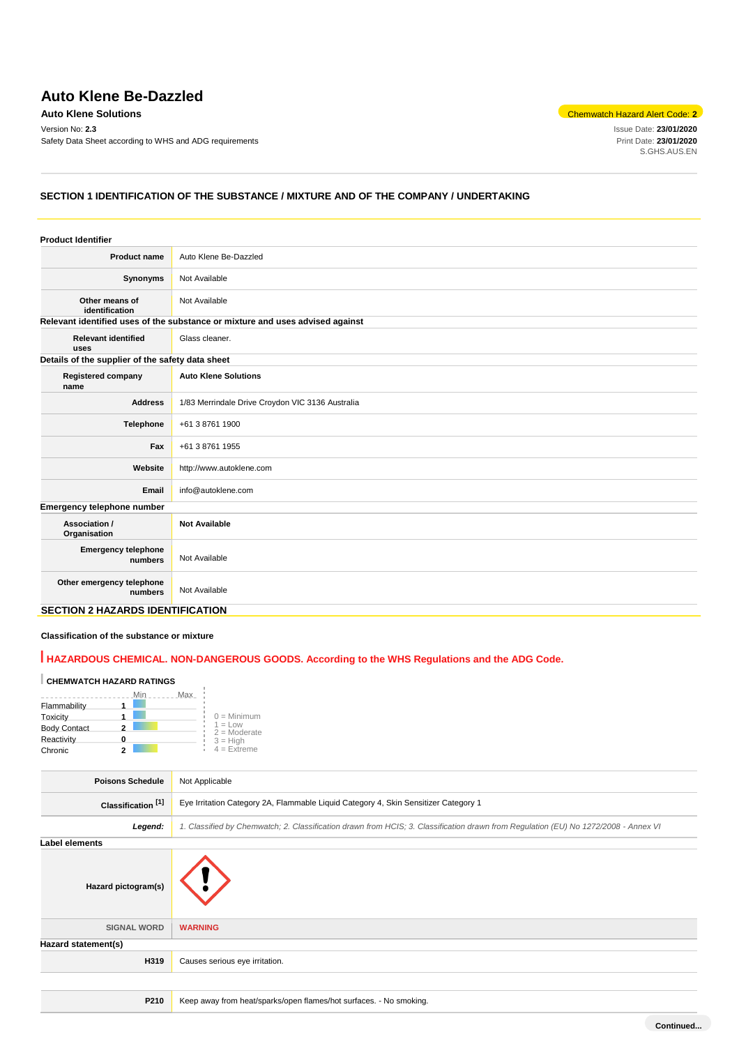# **Auto Klene Be-Dazzled**

Version No: **2.3** Issue Date: **23/01/2020** Safety Data Sheet according to WHS and ADG requirements

**Auto Klene Solutions** Chemwatch Hazard Alert Code: 2<sup>2</sup>

S.GHS.AUS.EN

# **SECTION 1 IDENTIFICATION OF THE SUBSTANCE / MIXTURE AND OF THE COMPANY / UNDERTAKING**

| <b>Product Identifier</b>                        |                                                                               |
|--------------------------------------------------|-------------------------------------------------------------------------------|
| <b>Product name</b>                              | Auto Klene Be-Dazzled                                                         |
| Synonyms                                         | Not Available                                                                 |
| Other means of<br>identification                 | Not Available                                                                 |
|                                                  | Relevant identified uses of the substance or mixture and uses advised against |
| <b>Relevant identified</b><br>uses               | Glass cleaner.                                                                |
| Details of the supplier of the safety data sheet |                                                                               |
| <b>Registered company</b><br>name                | <b>Auto Klene Solutions</b>                                                   |
| <b>Address</b>                                   | 1/83 Merrindale Drive Croydon VIC 3136 Australia                              |
| Telephone                                        | +61 3 8761 1900                                                               |
| Fax                                              | +61 3 8761 1955                                                               |
| Website                                          | http://www.autoklene.com                                                      |
| Email                                            | info@autoklene.com                                                            |
| Emergency telephone number                       |                                                                               |
| Association /<br>Organisation                    | <b>Not Available</b>                                                          |
| <b>Emergency telephone</b><br>numbers            | Not Available                                                                 |
| Other emergency telephone<br>numbers             | Not Available                                                                 |
| <b>SECTION 2 HAZARDS IDENTIFICATION</b>          |                                                                               |

### **Classification of the substance or mixture**

# **HAZARDOUS CHEMICAL. NON-DANGEROUS GOODS. According to the WHS Regulations and the ADG Code.**

# **CHEMWATCH HAZARD RATINGS**

|                     | Max<br>Min |                              |
|---------------------|------------|------------------------------|
| Flammability        |            |                              |
| Toxicity            |            | $0 =$ Minimum                |
| <b>Body Contact</b> |            | $1 = 1$ ow<br>$2 =$ Moderate |
| Reactivity          |            | $3 = High$                   |
| Chronic             |            | $4 =$ Extreme                |

| <b>Poisons Schedule</b>       | Not Applicable                                                                                                                      |  |
|-------------------------------|-------------------------------------------------------------------------------------------------------------------------------------|--|
| Classification <sup>[1]</sup> | Eye Irritation Category 2A, Flammable Liquid Category 4, Skin Sensitizer Category 1                                                 |  |
| Legend:                       | 1. Classified by Chemwatch; 2. Classification drawn from HCIS; 3. Classification drawn from Regulation (EU) No 1272/2008 - Annex VI |  |
| Label elements                |                                                                                                                                     |  |
| Hazard pictogram(s)           |                                                                                                                                     |  |
| <b>SIGNAL WORD</b>            | <b>WARNING</b>                                                                                                                      |  |
| Hazard statement(s)           |                                                                                                                                     |  |
| H319                          | Causes serious eye irritation.                                                                                                      |  |
|                               |                                                                                                                                     |  |
| P210                          | Keep away from heat/sparks/open flames/hot surfaces. - No smoking.                                                                  |  |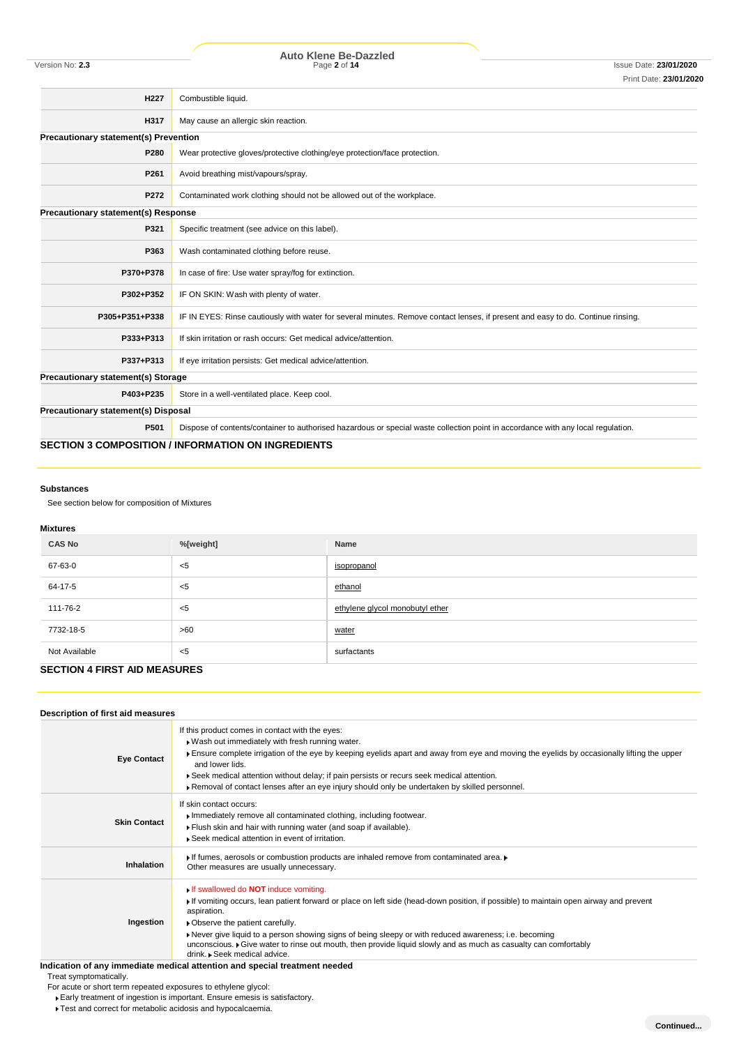| H <sub>22</sub> 7                            | Combustible liquid.                                                                                                              |
|----------------------------------------------|----------------------------------------------------------------------------------------------------------------------------------|
| H317                                         | May cause an allergic skin reaction.                                                                                             |
| <b>Precautionary statement(s) Prevention</b> |                                                                                                                                  |
| P280                                         | Wear protective gloves/protective clothing/eye protection/face protection.                                                       |
| P261                                         | Avoid breathing mist/vapours/spray.                                                                                              |
| P272                                         | Contaminated work clothing should not be allowed out of the workplace.                                                           |
| <b>Precautionary statement(s) Response</b>   |                                                                                                                                  |
| P321                                         | Specific treatment (see advice on this label).                                                                                   |
| P363                                         | Wash contaminated clothing before reuse.                                                                                         |
| P370+P378                                    | In case of fire: Use water spray/fog for extinction.                                                                             |
| P302+P352                                    | IF ON SKIN: Wash with plenty of water.                                                                                           |
| P305+P351+P338                               | IF IN EYES: Rinse cautiously with water for several minutes. Remove contact lenses, if present and easy to do. Continue rinsing. |
| P333+P313                                    | If skin irritation or rash occurs: Get medical advice/attention.                                                                 |
| P337+P313                                    | If eye irritation persists: Get medical advice/attention.                                                                        |
| <b>Precautionary statement(s) Storage</b>    |                                                                                                                                  |
| P403+P235                                    | Store in a well-ventilated place. Keep cool.                                                                                     |
| Precautionary statement(s) Disposal          |                                                                                                                                  |
| P501                                         | Dispose of contents/container to authorised hazardous or special waste collection point in accordance with any local regulation. |
|                                              | <b>SECTION 3 COMPOSITION / INFORMATION ON INGREDIENTS</b>                                                                        |

### **Substances**

See section below for composition of Mixtures

### **Mixtures**

| <b>CAS No</b> | %[weight] | Name                            |
|---------------|-----------|---------------------------------|
| 67-63-0       | $<$ 5     | isopropanol                     |
| 64-17-5       | $<$ 5     | ethanol                         |
| 111-76-2      | $<$ 5     | ethylene glycol monobutyl ether |
| 7732-18-5     | >60       | water                           |
| Not Available | $<$ 5     | surfactants                     |

# **SECTION 4 FIRST AID MEASURES**

# **Description of first aid measures**

| <b>Eye Contact</b>  | If this product comes in contact with the eyes:<br>. Wash out immediately with fresh running water.<br>Ensure complete irrigation of the eye by keeping eyelids apart and away from eye and moving the eyelids by occasionally lifting the upper<br>and lower lids.<br>► Seek medical attention without delay; if pain persists or recurs seek medical attention.<br>▶ Removal of contact lenses after an eye injury should only be undertaken by skilled personnel.                              |
|---------------------|---------------------------------------------------------------------------------------------------------------------------------------------------------------------------------------------------------------------------------------------------------------------------------------------------------------------------------------------------------------------------------------------------------------------------------------------------------------------------------------------------|
| <b>Skin Contact</b> | If skin contact occurs:<br>Immediately remove all contaminated clothing, including footwear.<br>Flush skin and hair with running water (and soap if available).<br>Seek medical attention in event of irritation.                                                                                                                                                                                                                                                                                 |
| Inhalation          | If fumes, aerosols or combustion products are inhaled remove from contaminated area. I<br>Other measures are usually unnecessary.                                                                                                                                                                                                                                                                                                                                                                 |
| Ingestion           | If swallowed do <b>NOT</b> induce vomiting.<br>If vomiting occurs, lean patient forward or place on left side (head-down position, if possible) to maintain open airway and prevent<br>aspiration.<br>• Observe the patient carefully.<br>Never give liquid to a person showing signs of being sleepy or with reduced awareness; i.e. becoming<br>unconscious. ► Give water to rinse out mouth, then provide liquid slowly and as much as casualty can comfortably<br>drink. Seek medical advice. |
|                     | Indication of any immediate medical attention and special treatment needed                                                                                                                                                                                                                                                                                                                                                                                                                        |

### Treat symptomatically.

For acute or short term repeated exposures to ethylene glycol:

Early treatment of ingestion is important. Ensure emesis is satisfactory.

Test and correct for metabolic acidosis and hypocalcaemia.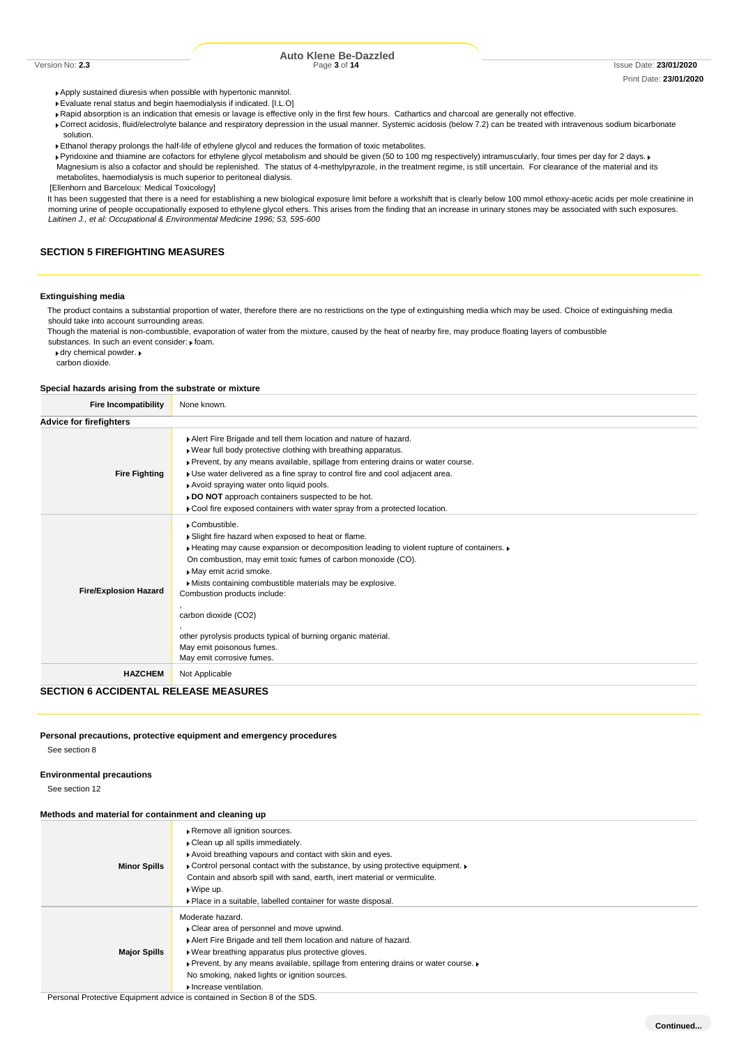Apply sustained diuresis when possible with hypertonic mannitol.

- Evaluate renal status and begin haemodialysis if indicated. [I.L.O]
- Rapid absorption is an indication that emesis or lavage is effective only in the first few hours. Cathartics and charcoal are generally not effective.
- Correct acidosis, fluid/electrolyte balance and respiratory depression in the usual manner. Systemic acidosis (below 7.2) can be treated with intravenous sodium bicarbonate solution.
- Ethanol therapy prolongs the half-life of ethylene glycol and reduces the formation of toxic metabolites.
- Pyridoxine and thiamine are cofactors for ethylene glycol metabolism and should be given (50 to 100 mg respectively) intramuscularly, four times per day for 2 days. ▶ Magnesium is also a cofactor and should be replenished. The status of 4-methylpyrazole, in the treatment regime, is still uncertain. For clearance of the material and its metabolites, haemodialysis is much superior to peritoneal dialysis.

[Ellenhorn and Barceloux: Medical Toxicology]

It has been suggested that there is a need for establishing a new biological exposure limit before a workshift that is clearly below 100 mmol ethoxy-acetic acids per mole creatinine in morning urine of people occupationally exposed to ethylene glycol ethers. This arises from the finding that an increase in urinary stones may be associated with such exposures. *Laitinen J., et al: Occupational & Environmental Medicine 1996; 53, 595-600*

# **SECTION 5 FIREFIGHTING MEASURES**

### **Extinguishing media**

The product contains a substantial proportion of water, therefore there are no restrictions on the type of extinguishing media which may be used. Choice of extinguishing media should take into account surrounding areas.

Though the material is non-combustible, evaporation of water from the mixture, caused by the heat of nearby fire, may produce floating layers of combustible substances. In such an event consider:  $\blacktriangleright$  foam.

dry chemical powder. carbon dioxide.

### **Special hazards arising from the substrate or mixture**

| <b>Fire Incompatibility</b>    | None known.                                                                                                                                                                                                                                                                                                                                                                                                                                                                                             |
|--------------------------------|---------------------------------------------------------------------------------------------------------------------------------------------------------------------------------------------------------------------------------------------------------------------------------------------------------------------------------------------------------------------------------------------------------------------------------------------------------------------------------------------------------|
| <b>Advice for firefighters</b> |                                                                                                                                                                                                                                                                                                                                                                                                                                                                                                         |
| <b>Fire Fighting</b>           | Alert Fire Brigade and tell them location and nature of hazard.<br>. Wear full body protective clothing with breathing apparatus.<br>▶ Prevent, by any means available, spillage from entering drains or water course.<br>• Use water delivered as a fine spray to control fire and cool adjacent area.<br>Avoid spraying water onto liquid pools.<br>DO NOT approach containers suspected to be hot.<br>• Cool fire exposed containers with water spray from a protected location.                     |
| <b>Fire/Explosion Hazard</b>   | Combustible.<br>Slight fire hazard when exposed to heat or flame.<br>► Heating may cause expansion or decomposition leading to violent rupture of containers. ►<br>On combustion, may emit toxic fumes of carbon monoxide (CO).<br>May emit acrid smoke.<br>Mists containing combustible materials may be explosive.<br>Combustion products include:<br>carbon dioxide (CO2)<br>other pyrolysis products typical of burning organic material.<br>May emit poisonous fumes.<br>May emit corrosive fumes. |
| <b>HAZCHEM</b>                 | Not Applicable                                                                                                                                                                                                                                                                                                                                                                                                                                                                                          |

# **SECTION 6 ACCIDENTAL RELEASE MEASURES**

# **Personal precautions, protective equipment and emergency procedures**

See section 8

### **Environmental precautions**

See section 12

#### **Methods and material for containment and cleaning up**

| <b>Minor Spills</b> | Remove all ignition sources.<br>Clean up all spills immediately.<br>Avoid breathing vapours and contact with skin and eyes.<br>• Control personal contact with the substance, by using protective equipment.<br>Contain and absorb spill with sand, earth, inert material or vermiculite.<br>$\triangleright$ Wipe up.<br>• Place in a suitable, labelled container for waste disposal. |
|---------------------|-----------------------------------------------------------------------------------------------------------------------------------------------------------------------------------------------------------------------------------------------------------------------------------------------------------------------------------------------------------------------------------------|
| <b>Major Spills</b> | Moderate hazard.<br>• Clear area of personnel and move upwind.<br>Alert Fire Brigade and tell them location and nature of hazard.<br>• Wear breathing apparatus plus protective gloves.<br>▶ Prevent, by any means available, spillage from entering drains or water course. ▶<br>No smoking, naked lights or ignition sources.<br>Increase ventilation.                                |

Personal Protective Equipment advice is contained in Section 8 of the SDS.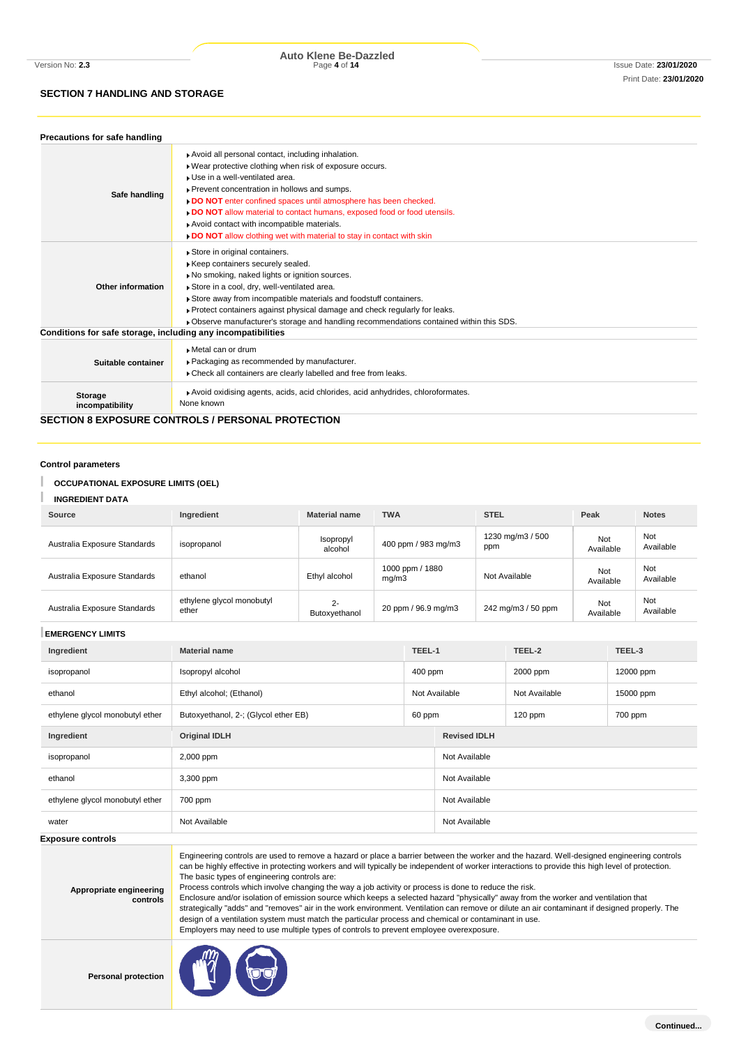# **SECTION 7 HANDLING AND STORAGE**

Version No: **2.3** Page **4** of **14** Issue Date: **23/01/2020 Auto Klene Be-Dazzled**

| Precautions for safe handling                                |                                                                                                                                                                                                                                                                                                                                                                                                                                                                        |
|--------------------------------------------------------------|------------------------------------------------------------------------------------------------------------------------------------------------------------------------------------------------------------------------------------------------------------------------------------------------------------------------------------------------------------------------------------------------------------------------------------------------------------------------|
| Safe handling                                                | Avoid all personal contact, including inhalation.<br>. Wear protective clothing when risk of exposure occurs.<br>▶ Use in a well-ventilated area.<br>▶ Prevent concentration in hollows and sumps.<br>DO NOT enter confined spaces until atmosphere has been checked.<br>DO NOT allow material to contact humans, exposed food or food utensils.<br>Avoid contact with incompatible materials.<br>DO NOT allow clothing wet with material to stay in contact with skin |
| Other information                                            | Store in original containers.<br>Keep containers securely sealed.<br>No smoking, naked lights or ignition sources.<br>Store in a cool, dry, well-ventilated area.<br>Store away from incompatible materials and foodstuff containers.<br>► Protect containers against physical damage and check regularly for leaks.<br>▶ Observe manufacturer's storage and handling recommendations contained within this SDS.                                                       |
| Conditions for safe storage, including any incompatibilities |                                                                                                                                                                                                                                                                                                                                                                                                                                                                        |
| Suitable container                                           | Metal can or drum<br>▶ Packaging as recommended by manufacturer.<br>Check all containers are clearly labelled and free from leaks.                                                                                                                                                                                                                                                                                                                                     |
| <b>Storage</b><br>incompatibility                            | Avoid oxidising agents, acids, acid chlorides, acid anhydrides, chloroformates.<br>None known                                                                                                                                                                                                                                                                                                                                                                          |

**SECTION 8 EXPOSURE CONTROLS / PERSONAL PROTECTION**

**Control parameters**

# **OCCUPATIONAL EXPOSURE LIMITS (OEL)**

| <b>INGREDIENT DATA</b>       |                                    |                        |                          |                         |                  |                  |
|------------------------------|------------------------------------|------------------------|--------------------------|-------------------------|------------------|------------------|
| <b>Source</b>                | Ingredient                         | <b>Material name</b>   | <b>TWA</b>               | <b>STEL</b>             | Peak             | <b>Notes</b>     |
| Australia Exposure Standards | isopropanol                        | Isopropyl<br>alcohol   | 400 ppm / 983 mg/m3      | 1230 mg/m3 / 500<br>ppm | Not<br>Available | Not<br>Available |
| Australia Exposure Standards | ethanol                            | Ethyl alcohol          | 1000 ppm / 1880<br>mq/m3 | Not Available           | Not<br>Available | Not<br>Available |
| Australia Exposure Standards | ethylene glycol monobutyl<br>ether | $2 -$<br>Butoxyethanol | 20 ppm / 96.9 mg/m3      | 242 mg/m3 / 50 ppm      | Not<br>Available | Not<br>Available |

| <b>EMERGENCY LIMITS</b>         |                                           |        |                     |           |           |
|---------------------------------|-------------------------------------------|--------|---------------------|-----------|-----------|
| Ingredient                      | <b>Material name</b>                      | TEEL-1 |                     | TEEL-2    | TEEL-3    |
| isopropanol                     | Isopropyl alcohol<br>400 ppm              |        |                     | 2000 ppm  | 12000 ppm |
| ethanol                         | Not Available<br>Ethyl alcohol; (Ethanol) |        | Not Available       | 15000 ppm |           |
| ethylene glycol monobutyl ether | Butoxyethanol, 2-; (Glycol ether EB)      | 60 ppm |                     | $120$ ppm | 700 ppm   |
| Ingredient                      | <b>Original IDLH</b>                      |        | <b>Revised IDLH</b> |           |           |
| isopropanol                     | 2,000 ppm                                 |        | Not Available       |           |           |
| ethanol                         | 3,300 ppm                                 |        | Not Available       |           |           |
| ethylene glycol monobutyl ether | 700 ppm                                   |        | Not Available       |           |           |
| water                           | Not Available                             |        | Not Available       |           |           |

**Expos** 

| <b>sure controls</b>                |                                                                                                                                                                                                                                                                                                                                                                                                                                                                                                                                                                                                                                                                                                                                                                                                                                                                                                                                                 |
|-------------------------------------|-------------------------------------------------------------------------------------------------------------------------------------------------------------------------------------------------------------------------------------------------------------------------------------------------------------------------------------------------------------------------------------------------------------------------------------------------------------------------------------------------------------------------------------------------------------------------------------------------------------------------------------------------------------------------------------------------------------------------------------------------------------------------------------------------------------------------------------------------------------------------------------------------------------------------------------------------|
| Appropriate engineering<br>controls | Engineering controls are used to remove a hazard or place a barrier between the worker and the hazard. Well-designed engineering controls<br>can be highly effective in protecting workers and will typically be independent of worker interactions to provide this high level of protection.<br>The basic types of engineering controls are:<br>Process controls which involve changing the way a job activity or process is done to reduce the risk.<br>Enclosure and/or isolation of emission source which keeps a selected hazard "physically" away from the worker and ventilation that<br>strategically "adds" and "removes" air in the work environment. Ventilation can remove or dilute an air contaminant if designed properly. The<br>design of a ventilation system must match the particular process and chemical or contaminant in use.<br>Employers may need to use multiple types of controls to prevent employee overexposure. |
|                                     |                                                                                                                                                                                                                                                                                                                                                                                                                                                                                                                                                                                                                                                                                                                                                                                                                                                                                                                                                 |

**Personal protection**

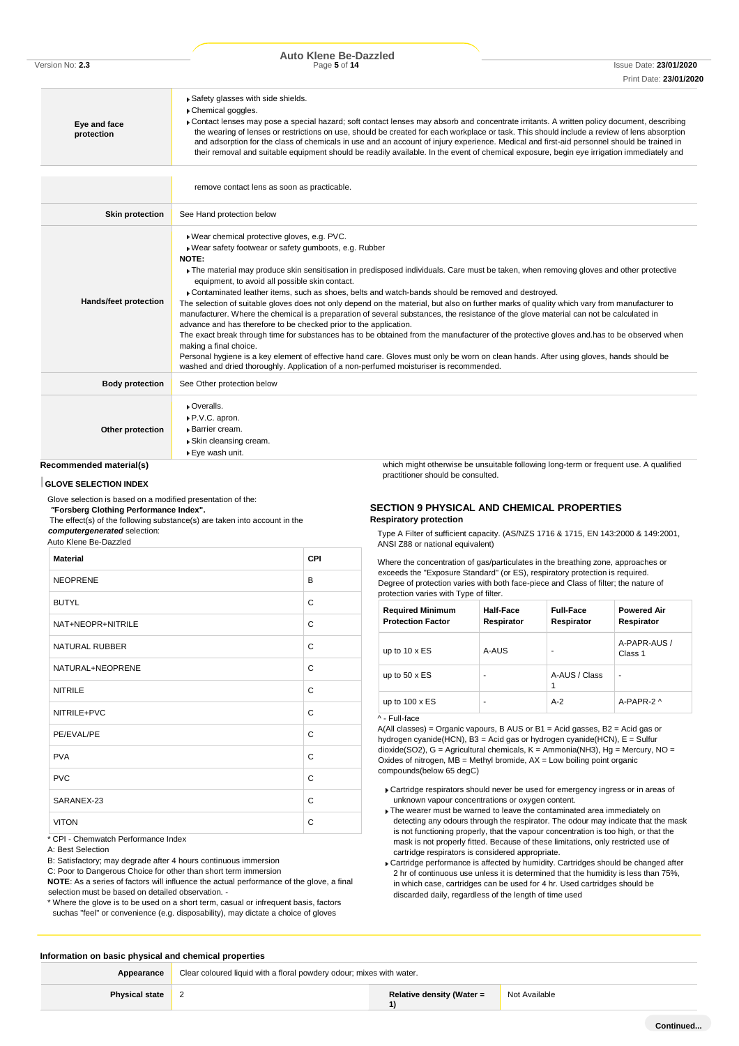| Version No: 2.3 |  |  |
|-----------------|--|--|
|-----------------|--|--|

| Eye and face<br>protection                  | Safety glasses with side shields.<br>Chemical goggles.<br>Contact lenses may pose a special hazard; soft contact lenses may absorb and concentrate irritants. A written policy document, describing<br>the wearing of lenses or restrictions on use, should be created for each workplace or task. This should include a review of lens absorption<br>and adsorption for the class of chemicals in use and an account of injury experience. Medical and first-aid personnel should be trained in<br>their removal and suitable equipment should be readily available. In the event of chemical exposure, begin eye irrigation immediately and                                                                                                                                                                                                                                                                                                                                                                                                                                                                                                                                            |
|---------------------------------------------|------------------------------------------------------------------------------------------------------------------------------------------------------------------------------------------------------------------------------------------------------------------------------------------------------------------------------------------------------------------------------------------------------------------------------------------------------------------------------------------------------------------------------------------------------------------------------------------------------------------------------------------------------------------------------------------------------------------------------------------------------------------------------------------------------------------------------------------------------------------------------------------------------------------------------------------------------------------------------------------------------------------------------------------------------------------------------------------------------------------------------------------------------------------------------------------|
|                                             | remove contact lens as soon as practicable.                                                                                                                                                                                                                                                                                                                                                                                                                                                                                                                                                                                                                                                                                                                                                                                                                                                                                                                                                                                                                                                                                                                                              |
| <b>Skin protection</b>                      | See Hand protection below                                                                                                                                                                                                                                                                                                                                                                                                                                                                                                                                                                                                                                                                                                                                                                                                                                                                                                                                                                                                                                                                                                                                                                |
| Hands/feet protection                       | ▶ Wear chemical protective gloves, e.g. PVC.<br>▶ Wear safety footwear or safety gumboots, e.g. Rubber<br>NOTE:<br>The material may produce skin sensitisation in predisposed individuals. Care must be taken, when removing gloves and other protective<br>equipment, to avoid all possible skin contact.<br>Contaminated leather items, such as shoes, belts and watch-bands should be removed and destroyed.<br>The selection of suitable gloves does not only depend on the material, but also on further marks of quality which vary from manufacturer to<br>manufacturer. Where the chemical is a preparation of several substances, the resistance of the glove material can not be calculated in<br>advance and has therefore to be checked prior to the application.<br>The exact break through time for substances has to be obtained from the manufacturer of the protective gloves and has to be observed when<br>making a final choice.<br>Personal hygiene is a key element of effective hand care. Gloves must only be worn on clean hands. After using gloves, hands should be<br>washed and dried thoroughly. Application of a non-perfumed moisturiser is recommended. |
| <b>Body protection</b>                      | See Other protection below                                                                                                                                                                                                                                                                                                                                                                                                                                                                                                                                                                                                                                                                                                                                                                                                                                                                                                                                                                                                                                                                                                                                                               |
| Other protection<br>Recommended material(s) | • Overalls.<br>P.V.C. apron.<br>▶ Barrier cream.<br>▶ Skin cleansing cream.<br>▶ Eye wash unit.<br>which might otherwise be unsuitable following long-term or frequent use. A qualified                                                                                                                                                                                                                                                                                                                                                                                                                                                                                                                                                                                                                                                                                                                                                                                                                                                                                                                                                                                                  |

# **Recommended material(s)**

### **GLOVE SELECTION INDEX**

Glove selection is based on a modified presentation of the: *"***Forsberg Clothing Performance Index".**

The effect(s) of the following substance(s) are taken into account in the *computergenerated* selection: Auto Klene Be-Dazzled

**Material CPI**

| <b>SECTION 9 PHYSICAL AND CHEMICAL PROPERTIES</b> |  |
|---------------------------------------------------|--|

### **Respiratory protection**

practitioner should be consulted.

Type A Filter of sufficient capacity. (AS/NZS 1716 & 1715, EN 143:2000 & 149:2001, ANSI Z88 or national equivalent)

Where the concentration of gas/particulates in the breathing zone, approaches or exceeds the "Exposure Standard" (or ES), respiratory protection is required. Degree of protection varies with both face-piece and Class of filter; the nature of protection varies with Type of filter.

| <b>Required Minimum</b><br><b>Protection Factor</b> | Half-Face<br>Respirator | <b>Full-Face</b><br>Respirator | <b>Powered Air</b><br>Respirator |
|-----------------------------------------------------|-------------------------|--------------------------------|----------------------------------|
| up to $10 \times ES$                                | A-AUS                   |                                | A-PAPR-AUS /<br>Class 1          |
| up to $50 \times ES$                                | ۰                       | A-AUS / Class<br>1             | ۰                                |
| up to $100 \times ES$                               | ۰                       | $A-2$                          | A-PAPR-2 ^                       |

### ^ - Full-face

A(All classes) = Organic vapours, B AUS or B1 = Acid gasses, B2 = Acid gas or hydrogen cyanide(HCN), B3 = Acid gas or hydrogen cyanide(HCN), E = Sulfur dioxide(SO2), G = Agricultural chemicals, K = Ammonia(NH3), Hg = Mercury, NO = Oxides of nitrogen,  $MB =$  Methyl bromide,  $AX =$  Low boiling point organic compounds(below 65 degC)

- Cartridge respirators should never be used for emergency ingress or in areas of unknown vapour concentrations or oxygen content.
- $\blacktriangleright$  The wearer must be warned to leave the contaminated area immediately on detecting any odours through the respirator. The odour may indicate that the mask is not functioning properly, that the vapour concentration is too high, or that the mask is not properly fitted. Because of these limitations, only restricted use of cartridge respirators is considered appropriate.
- Cartridge performance is affected by humidity. Cartridges should be changed after 2 hr of continuous use unless it is determined that the humidity is less than 75%, in which case, cartridges can be used for 4 hr. Used cartridges should be discarded daily, regardless of the length of time used

# NEOPRENE B BUTYL CONTROL CONTROL CONTROL CONTROL CONTROL CONTROL CONTROL CONTROL CONTROL CONTROL CONTROL CONTROL CONTROL CONTROL CONTROL CONTROL CONTROL CONTROL CONTROL CONTROL CONTROL CONTROL CONTROL CONTROL CONTROL CONTROL CONTROL NAT+NEOPR+NITRILE C NATURAL RUBBER COMPANY OF THE SERIES OF THE SERIES OF THE SERIES OF THE SERIES OF THE SERIES OF THE SERIES OF THE SERIES OF THE SERIES OF THE SERIES OF THE SERIES OF THE SERIES OF THE SERIES OF THE SERIES OF THE SERIES OF NATURAL+NEOPRENE CONTROLLER CONTROLLER CONTROLLER CONTROLLER CONTROLLER CONTROLLER CONTROLLER CONTROLLER CONTROLLER CONTROLLER CONTROLLER CONTROLLER CONTROLLER CONTROLLER CONTROLLER CONTROLLER CONTROLLER CONTROLLER CONTROL NITRILE COMMUNIST CONTROLLER COMMUNIST CONTROLLER COMMUNIST CONTROLLER COMMUNIST CONTROLLER COMMUNIST CONTROLLER COMMUNIST CONTROLLER COMMUNIST CONTROLLER CONTROLLER COMMUNIST CONTROLLER CONTROLLER CONTROLLER CONTROLLER CO NITRILE+PVC C PE/EVAL/PE CONTROL CONTROL CONTROL CONTROL CONTROL CONTROL CONTROL CONTROL CONTROL CONTROL CONTROL CONTROL CONTROL CONTROL CONTROL CONTROL CONTROL CONTROL CONTROL CONTROL CONTROL CONTROL CONTROL CONTROL CONTROL CONTROL CON PVA COMPOSITION CONTINUES. PVC CONTROL CONTROL CONTROL CONTROL CONTROL CONTROL CONTROL CONTROL CONTROL CONTROL CONTROL CONTROL CONTROL CONTROL CONTROL CONTROL CONTROL CONTROL CONTROL CONTROL CONTROL CONTROL CONTROL CONTROL CONTROL CONTROL CONTROL CO SARANEX-23 C VITON CONTROL CONTROL CONTROL CONTROL CONTROL CONTROL CONTROL CONTROL CONTROL CONTROL CONTROL CONTROL CONTROL CONTROL CONTROL CONTROL CONTROL CONTROL CONTROL CONTROL CONTROL CONTROL CONTROL CONTROL CONTROL CONTROL CONTROL

CPI - Chemwatch Performance Index

A: Best Selection

B: Satisfactory; may degrade after 4 hours continuous immersion

C: Poor to Dangerous Choice for other than short term immersion

**NOTE**: As a series of factors will influence the actual performance of the glove, a final selection must be based on detailed observation. -

\* Where the glove is to be used on a short term, casual or infrequent basis, factors suchas "feel" or convenience (e.g. disposability), may dictate a choice of gloves

### **Information on basic physical and chemical properties**

Appearance **Clear coloured liquid with a floral powdery odour; mixes with water. Physical state** 2 **Relative density (Water = 1)** Not Available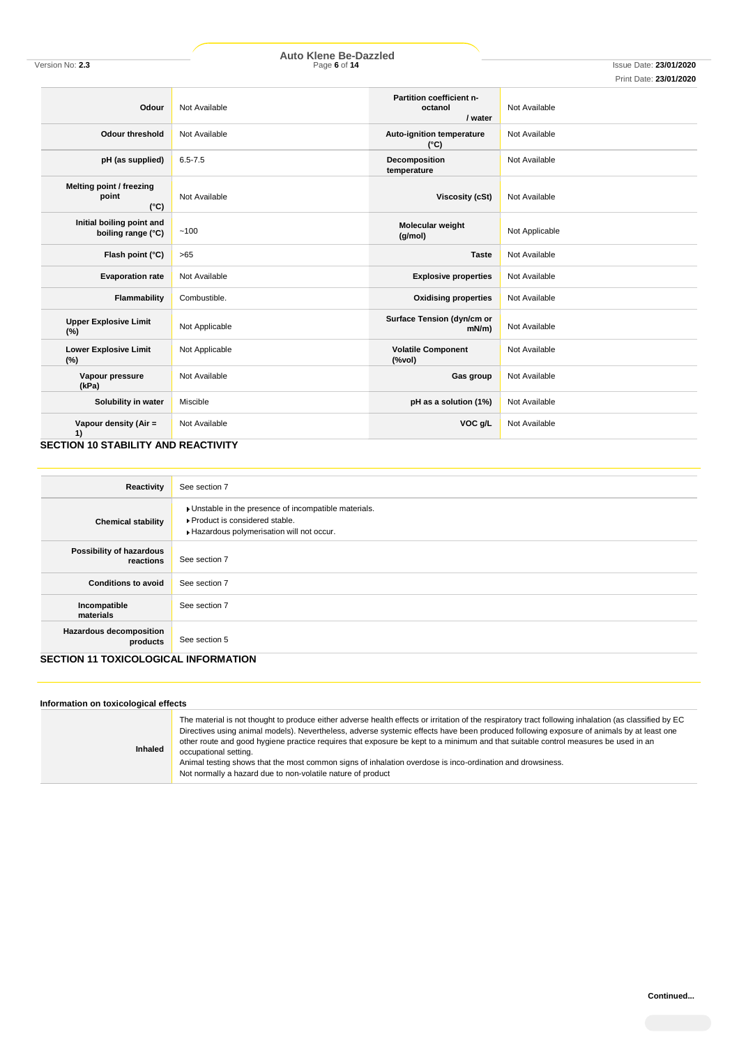# Print Date: **23/01/2020**

| Odour                                              | Not Available  | Partition coefficient n-<br>octanol<br>/ water | Not Available  |
|----------------------------------------------------|----------------|------------------------------------------------|----------------|
| <b>Odour threshold</b>                             | Not Available  | Auto-ignition temperature<br>$(^{\circ}C)$     | Not Available  |
| pH (as supplied)                                   | $6.5 - 7.5$    | Decomposition<br>temperature                   | Not Available  |
| Melting point / freezing<br>point<br>$(^{\circ}C)$ | Not Available  | Viscosity (cSt)                                | Not Available  |
| Initial boiling point and<br>boiling range (°C)    | $-100$         | Molecular weight<br>(g/mol)                    | Not Applicable |
| Flash point (°C)                                   | $>65$          | <b>Taste</b>                                   | Not Available  |
| <b>Evaporation rate</b>                            | Not Available  | <b>Explosive properties</b>                    | Not Available  |
| Flammability                                       | Combustible.   | <b>Oxidising properties</b>                    | Not Available  |
| <b>Upper Explosive Limit</b><br>(%)                | Not Applicable | Surface Tension (dyn/cm or<br>$mN/m$ )         | Not Available  |
| <b>Lower Explosive Limit</b><br>(%)                | Not Applicable | <b>Volatile Component</b><br>(%                | Not Available  |
| Vapour pressure<br>(kPa)                           | Not Available  | Gas group                                      | Not Available  |
| Solubility in water                                | Miscible       | pH as a solution (1%)                          | Not Available  |
| Vapour density (Air =<br>1)                        | Not Available  | VOC g/L                                        | Not Available  |

### **SECTION 10 STABILITY AND REACTIVITY**

| Reactivity                                                                                 | See section 7                                                                                                                      |
|--------------------------------------------------------------------------------------------|------------------------------------------------------------------------------------------------------------------------------------|
| <b>Chemical stability</b>                                                                  | Unstable in the presence of incompatible materials.<br>▶ Product is considered stable.<br>Hazardous polymerisation will not occur. |
| Possibility of hazardous<br>reactions                                                      | See section 7                                                                                                                      |
| <b>Conditions to avoid</b>                                                                 | See section 7                                                                                                                      |
| Incompatible<br>materials                                                                  | See section 7                                                                                                                      |
| <b>Hazardous decomposition</b><br>products<br><b>OFOTION 44 TOVIOOL OOIQAL INFODUATION</b> | See section 5                                                                                                                      |

# **SECTION 11 TOXICOLOGICAL INFORMATION**

| Inhaled | The material is not thought to produce either adverse health effects or irritation of the respiratory tract following inhalation (as classified by EC<br>Directives using animal models). Nevertheless, adverse systemic effects have been produced following exposure of animals by at least one<br>other route and good hygiene practice requires that exposure be kept to a minimum and that suitable control measures be used in an<br>occupational setting.<br>Animal testing shows that the most common signs of inhalation overdose is inco-ordination and drowsiness.<br>Not normally a hazard due to non-volatile nature of product |
|---------|----------------------------------------------------------------------------------------------------------------------------------------------------------------------------------------------------------------------------------------------------------------------------------------------------------------------------------------------------------------------------------------------------------------------------------------------------------------------------------------------------------------------------------------------------------------------------------------------------------------------------------------------|
|---------|----------------------------------------------------------------------------------------------------------------------------------------------------------------------------------------------------------------------------------------------------------------------------------------------------------------------------------------------------------------------------------------------------------------------------------------------------------------------------------------------------------------------------------------------------------------------------------------------------------------------------------------------|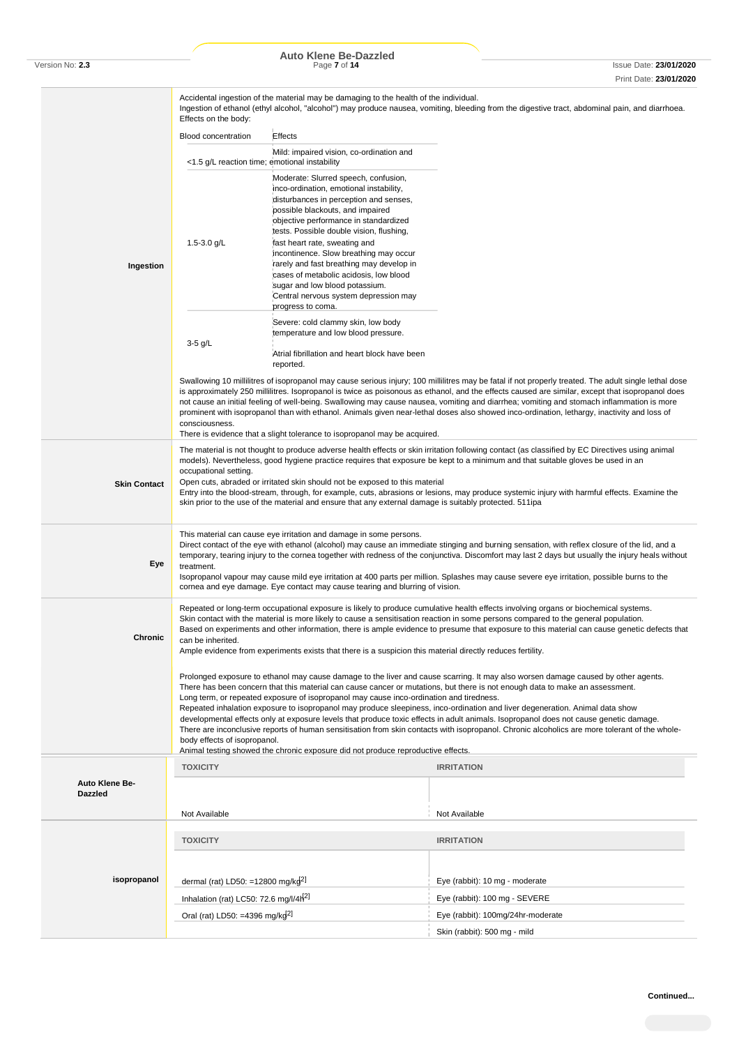|                                  | Accidental ingestion of the material may be damaging to the health of the individual.<br>Ingestion of ethanol (ethyl alcohol, "alcohol") may produce nausea, vomiting, bleeding from the digestive tract, abdominal pain, and diarrhoea.<br>Effects on the body:                                                                                                                                                                                                                                                                                                                                                                                      |                                                                                                                                                                                                                                                                                                                                                                                                                                                                                                                     |                                                                                                                                                                                                                                                                                                                                                                                                                                                                                                                                                                                                                                                                                             |  |  |  |
|----------------------------------|-------------------------------------------------------------------------------------------------------------------------------------------------------------------------------------------------------------------------------------------------------------------------------------------------------------------------------------------------------------------------------------------------------------------------------------------------------------------------------------------------------------------------------------------------------------------------------------------------------------------------------------------------------|---------------------------------------------------------------------------------------------------------------------------------------------------------------------------------------------------------------------------------------------------------------------------------------------------------------------------------------------------------------------------------------------------------------------------------------------------------------------------------------------------------------------|---------------------------------------------------------------------------------------------------------------------------------------------------------------------------------------------------------------------------------------------------------------------------------------------------------------------------------------------------------------------------------------------------------------------------------------------------------------------------------------------------------------------------------------------------------------------------------------------------------------------------------------------------------------------------------------------|--|--|--|
|                                  | <b>Blood concentration</b>                                                                                                                                                                                                                                                                                                                                                                                                                                                                                                                                                                                                                            | Effects                                                                                                                                                                                                                                                                                                                                                                                                                                                                                                             |                                                                                                                                                                                                                                                                                                                                                                                                                                                                                                                                                                                                                                                                                             |  |  |  |
|                                  |                                                                                                                                                                                                                                                                                                                                                                                                                                                                                                                                                                                                                                                       | Mild: impaired vision, co-ordination and<br><1.5 g/L reaction time; emotional instability                                                                                                                                                                                                                                                                                                                                                                                                                           |                                                                                                                                                                                                                                                                                                                                                                                                                                                                                                                                                                                                                                                                                             |  |  |  |
| Ingestion                        | 1.5-3.0 $g/L$                                                                                                                                                                                                                                                                                                                                                                                                                                                                                                                                                                                                                                         | Moderate: Slurred speech, confusion,<br>inco-ordination, emotional instability,<br>disturbances in perception and senses,<br>possible blackouts, and impaired<br>objective performance in standardized<br>tests. Possible double vision, flushing,<br>fast heart rate, sweating and<br>incontinence. Slow breathing may occur<br>rarely and fast breathing may develop in<br>cases of metabolic acidosis, low blood<br>sugar and low blood potassium.<br>Central nervous system depression may<br>progress to coma. |                                                                                                                                                                                                                                                                                                                                                                                                                                                                                                                                                                                                                                                                                             |  |  |  |
|                                  | 3-5 g/L                                                                                                                                                                                                                                                                                                                                                                                                                                                                                                                                                                                                                                               | Severe: cold clammy skin, low body<br>temperature and low blood pressure.<br>Atrial fibrillation and heart block have been<br>reported.                                                                                                                                                                                                                                                                                                                                                                             |                                                                                                                                                                                                                                                                                                                                                                                                                                                                                                                                                                                                                                                                                             |  |  |  |
|                                  | consciousness.                                                                                                                                                                                                                                                                                                                                                                                                                                                                                                                                                                                                                                        |                                                                                                                                                                                                                                                                                                                                                                                                                                                                                                                     | Swallowing 10 millilitres of isopropanol may cause serious injury; 100 millilitres may be fatal if not properly treated. The adult single lethal dose<br>is approximately 250 millilitres. Isopropanol is twice as poisonous as ethanol, and the effects caused are similar, except that isopropanol does<br>not cause an initial feeling of well-being. Swallowing may cause nausea, vomiting and diarrhea; vomiting and stomach inflammation is more<br>prominent with isopropanol than with ethanol. Animals given near-lethal doses also showed inco-ordination, lethargy, inactivity and loss of                                                                                       |  |  |  |
|                                  |                                                                                                                                                                                                                                                                                                                                                                                                                                                                                                                                                                                                                                                       | There is evidence that a slight tolerance to isopropanol may be acquired.                                                                                                                                                                                                                                                                                                                                                                                                                                           |                                                                                                                                                                                                                                                                                                                                                                                                                                                                                                                                                                                                                                                                                             |  |  |  |
| <b>Skin Contact</b>              | The material is not thought to produce adverse health effects or skin irritation following contact (as classified by EC Directives using animal<br>models). Nevertheless, good hygiene practice requires that exposure be kept to a minimum and that suitable gloves be used in an<br>occupational setting.<br>Open cuts, abraded or irritated skin should not be exposed to this material<br>Entry into the blood-stream, through, for example, cuts, abrasions or lesions, may produce systemic injury with harmful effects. Examine the<br>skin prior to the use of the material and ensure that any external damage is suitably protected. 511ipa |                                                                                                                                                                                                                                                                                                                                                                                                                                                                                                                     |                                                                                                                                                                                                                                                                                                                                                                                                                                                                                                                                                                                                                                                                                             |  |  |  |
| Eye                              | This material can cause eye irritation and damage in some persons.<br>Direct contact of the eye with ethanol (alcohol) may cause an immediate stinging and burning sensation, with reflex closure of the lid, and a<br>temporary, tearing injury to the cornea together with redness of the conjunctiva. Discomfort may last 2 days but usually the injury heals without<br>treatment.<br>Isopropanol vapour may cause mild eye irritation at 400 parts per million. Splashes may cause severe eye irritation, possible burns to the<br>cornea and eye damage. Eye contact may cause tearing and blurring of vision.                                  |                                                                                                                                                                                                                                                                                                                                                                                                                                                                                                                     |                                                                                                                                                                                                                                                                                                                                                                                                                                                                                                                                                                                                                                                                                             |  |  |  |
| <b>Chronic</b>                   | can be inherited.                                                                                                                                                                                                                                                                                                                                                                                                                                                                                                                                                                                                                                     | Ample evidence from experiments exists that there is a suspicion this material directly reduces fertility.                                                                                                                                                                                                                                                                                                                                                                                                          | Repeated or long-term occupational exposure is likely to produce cumulative health effects involving organs or biochemical systems.<br>Skin contact with the material is more likely to cause a sensitisation reaction in some persons compared to the general population.<br>Based on experiments and other information, there is ample evidence to presume that exposure to this material can cause genetic defects that                                                                                                                                                                                                                                                                  |  |  |  |
|                                  | body effects of isopropanol.                                                                                                                                                                                                                                                                                                                                                                                                                                                                                                                                                                                                                          | Long term, or repeated exposure of isopropanol may cause inco-ordination and tiredness.<br>Animal testing showed the chronic exposure did not produce reproductive effects.                                                                                                                                                                                                                                                                                                                                         | Prolonged exposure to ethanol may cause damage to the liver and cause scarring. It may also worsen damage caused by other agents.<br>There has been concern that this material can cause cancer or mutations, but there is not enough data to make an assessment.<br>Repeated inhalation exposure to isopropanol may produce sleepiness, inco-ordination and liver degeneration. Animal data show<br>developmental effects only at exposure levels that produce toxic effects in adult animals. Isopropanol does not cause genetic damage.<br>There are inconclusive reports of human sensitisation from skin contacts with isopropanol. Chronic alcoholics are more tolerant of the whole- |  |  |  |
|                                  | <b>TOXICITY</b>                                                                                                                                                                                                                                                                                                                                                                                                                                                                                                                                                                                                                                       |                                                                                                                                                                                                                                                                                                                                                                                                                                                                                                                     | <b>IRRITATION</b>                                                                                                                                                                                                                                                                                                                                                                                                                                                                                                                                                                                                                                                                           |  |  |  |
| Auto Klene Be-<br><b>Dazzled</b> | Not Available                                                                                                                                                                                                                                                                                                                                                                                                                                                                                                                                                                                                                                         |                                                                                                                                                                                                                                                                                                                                                                                                                                                                                                                     | Not Available                                                                                                                                                                                                                                                                                                                                                                                                                                                                                                                                                                                                                                                                               |  |  |  |
|                                  |                                                                                                                                                                                                                                                                                                                                                                                                                                                                                                                                                                                                                                                       |                                                                                                                                                                                                                                                                                                                                                                                                                                                                                                                     |                                                                                                                                                                                                                                                                                                                                                                                                                                                                                                                                                                                                                                                                                             |  |  |  |
|                                  | <b>TOXICITY</b>                                                                                                                                                                                                                                                                                                                                                                                                                                                                                                                                                                                                                                       |                                                                                                                                                                                                                                                                                                                                                                                                                                                                                                                     | <b>IRRITATION</b>                                                                                                                                                                                                                                                                                                                                                                                                                                                                                                                                                                                                                                                                           |  |  |  |
| isopropanol                      | dermal (rat) LD50: =12800 mg/k $g^{[2]}$                                                                                                                                                                                                                                                                                                                                                                                                                                                                                                                                                                                                              |                                                                                                                                                                                                                                                                                                                                                                                                                                                                                                                     | Eye (rabbit): 10 mg - moderate                                                                                                                                                                                                                                                                                                                                                                                                                                                                                                                                                                                                                                                              |  |  |  |
|                                  | Inhalation (rat) LC50: 72.6 mg/l/4h <sup>2]</sup>                                                                                                                                                                                                                                                                                                                                                                                                                                                                                                                                                                                                     |                                                                                                                                                                                                                                                                                                                                                                                                                                                                                                                     | Eye (rabbit): 100 mg - SEVERE                                                                                                                                                                                                                                                                                                                                                                                                                                                                                                                                                                                                                                                               |  |  |  |
|                                  | Oral (rat) LD50: =4396 mg/kg <sup>2]</sup><br>Eye (rabbit): 100mg/24hr-moderate                                                                                                                                                                                                                                                                                                                                                                                                                                                                                                                                                                       |                                                                                                                                                                                                                                                                                                                                                                                                                                                                                                                     |                                                                                                                                                                                                                                                                                                                                                                                                                                                                                                                                                                                                                                                                                             |  |  |  |
|                                  |                                                                                                                                                                                                                                                                                                                                                                                                                                                                                                                                                                                                                                                       |                                                                                                                                                                                                                                                                                                                                                                                                                                                                                                                     | Skin (rabbit): 500 mg - mild                                                                                                                                                                                                                                                                                                                                                                                                                                                                                                                                                                                                                                                                |  |  |  |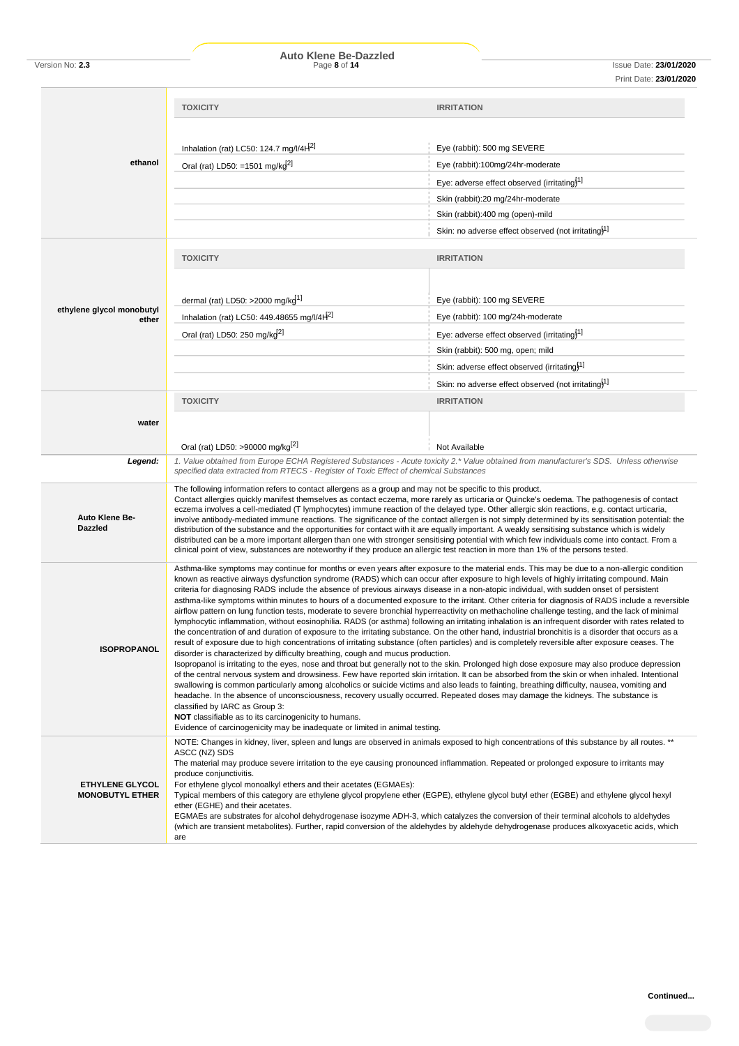|                                                                                                                                                                                                                                                                                                                                               | <b>TOXICITY</b>                                                                                                                                                                                                                                                                      | <b>IRRITATION</b>                                                                                                                                                                                                                                                                                         |  |  |  |
|-----------------------------------------------------------------------------------------------------------------------------------------------------------------------------------------------------------------------------------------------------------------------------------------------------------------------------------------------|--------------------------------------------------------------------------------------------------------------------------------------------------------------------------------------------------------------------------------------------------------------------------------------|-----------------------------------------------------------------------------------------------------------------------------------------------------------------------------------------------------------------------------------------------------------------------------------------------------------|--|--|--|
|                                                                                                                                                                                                                                                                                                                                               |                                                                                                                                                                                                                                                                                      |                                                                                                                                                                                                                                                                                                           |  |  |  |
|                                                                                                                                                                                                                                                                                                                                               | Inhalation (rat) LC50: 124.7 mg/l/4H <sup>2]</sup>                                                                                                                                                                                                                                   | Eye (rabbit): 500 mg SEVERE                                                                                                                                                                                                                                                                               |  |  |  |
| ethanol                                                                                                                                                                                                                                                                                                                                       | Oral (rat) LD50: =1501 mg/k $d^{2}$                                                                                                                                                                                                                                                  | Eye (rabbit):100mg/24hr-moderate                                                                                                                                                                                                                                                                          |  |  |  |
|                                                                                                                                                                                                                                                                                                                                               |                                                                                                                                                                                                                                                                                      | Eye: adverse effect observed (irritating) <sup>1]</sup>                                                                                                                                                                                                                                                   |  |  |  |
|                                                                                                                                                                                                                                                                                                                                               |                                                                                                                                                                                                                                                                                      | Skin (rabbit):20 mg/24hr-moderate                                                                                                                                                                                                                                                                         |  |  |  |
|                                                                                                                                                                                                                                                                                                                                               |                                                                                                                                                                                                                                                                                      | Skin (rabbit):400 mg (open)-mild                                                                                                                                                                                                                                                                          |  |  |  |
|                                                                                                                                                                                                                                                                                                                                               |                                                                                                                                                                                                                                                                                      | Skin: no adverse effect observed (not irritating) <sup>1]</sup>                                                                                                                                                                                                                                           |  |  |  |
|                                                                                                                                                                                                                                                                                                                                               | <b>TOXICITY</b>                                                                                                                                                                                                                                                                      | <b>IRRITATION</b>                                                                                                                                                                                                                                                                                         |  |  |  |
|                                                                                                                                                                                                                                                                                                                                               |                                                                                                                                                                                                                                                                                      |                                                                                                                                                                                                                                                                                                           |  |  |  |
|                                                                                                                                                                                                                                                                                                                                               |                                                                                                                                                                                                                                                                                      |                                                                                                                                                                                                                                                                                                           |  |  |  |
| ethylene glycol monobutyl                                                                                                                                                                                                                                                                                                                     | dermal (rat) LD50: >2000 mg/kg <sup>1]</sup>                                                                                                                                                                                                                                         | Eye (rabbit): 100 mg SEVERE                                                                                                                                                                                                                                                                               |  |  |  |
| ether                                                                                                                                                                                                                                                                                                                                         | Inhalation (rat) LC50: 449.48655 mg/l/4 $H2$                                                                                                                                                                                                                                         | Eye (rabbit): 100 mg/24h-moderate                                                                                                                                                                                                                                                                         |  |  |  |
|                                                                                                                                                                                                                                                                                                                                               | Oral (rat) LD50: 250 mg/kg <sup>2]</sup>                                                                                                                                                                                                                                             | Eye: adverse effect observed (irritating) <sup>1]</sup>                                                                                                                                                                                                                                                   |  |  |  |
|                                                                                                                                                                                                                                                                                                                                               |                                                                                                                                                                                                                                                                                      | Skin (rabbit): 500 mg, open; mild                                                                                                                                                                                                                                                                         |  |  |  |
|                                                                                                                                                                                                                                                                                                                                               |                                                                                                                                                                                                                                                                                      | Skin: adverse effect observed (irritating) <sup>1</sup>                                                                                                                                                                                                                                                   |  |  |  |
|                                                                                                                                                                                                                                                                                                                                               |                                                                                                                                                                                                                                                                                      | Skin: no adverse effect observed (not irritating) <sup>11</sup>                                                                                                                                                                                                                                           |  |  |  |
|                                                                                                                                                                                                                                                                                                                                               | <b>TOXICITY</b>                                                                                                                                                                                                                                                                      | <b>IRRITATION</b>                                                                                                                                                                                                                                                                                         |  |  |  |
| water                                                                                                                                                                                                                                                                                                                                         |                                                                                                                                                                                                                                                                                      |                                                                                                                                                                                                                                                                                                           |  |  |  |
|                                                                                                                                                                                                                                                                                                                                               |                                                                                                                                                                                                                                                                                      |                                                                                                                                                                                                                                                                                                           |  |  |  |
| Legend:                                                                                                                                                                                                                                                                                                                                       | Oral (rat) LD50: >90000 mg/kg <sup>[2]</sup>                                                                                                                                                                                                                                         | Not Available<br>1. Value obtained from Europe ECHA Registered Substances - Acute toxicity 2.* Value obtained from manufacturer's SDS. Unless otherwise                                                                                                                                                   |  |  |  |
|                                                                                                                                                                                                                                                                                                                                               | specified data extracted from RTECS - Register of Toxic Effect of chemical Substances                                                                                                                                                                                                |                                                                                                                                                                                                                                                                                                           |  |  |  |
|                                                                                                                                                                                                                                                                                                                                               | The following information refers to contact allergens as a group and may not be specific to this product.                                                                                                                                                                            |                                                                                                                                                                                                                                                                                                           |  |  |  |
|                                                                                                                                                                                                                                                                                                                                               |                                                                                                                                                                                                                                                                                      | Contact allergies quickly manifest themselves as contact eczema, more rarely as urticaria or Quincke's oedema. The pathogenesis of contact<br>eczema involves a cell-mediated (T lymphocytes) immune reaction of the delayed type. Other allergic skin reactions, e.g. contact urticaria,                 |  |  |  |
| <b>Auto Klene Be-</b><br>involve antibody-mediated immune reactions. The significance of the contact allergen is not simply determined by its sensitisation potential: the<br><b>Dazzled</b><br>distribution of the substance and the opportunities for contact with it are equally important. A weakly sensitising substance which is widely |                                                                                                                                                                                                                                                                                      |                                                                                                                                                                                                                                                                                                           |  |  |  |
|                                                                                                                                                                                                                                                                                                                                               | distributed can be a more important allergen than one with stronger sensitising potential with which few individuals come into contact. From a<br>clinical point of view, substances are noteworthy if they produce an allergic test reaction in more than 1% of the persons tested. |                                                                                                                                                                                                                                                                                                           |  |  |  |
|                                                                                                                                                                                                                                                                                                                                               |                                                                                                                                                                                                                                                                                      |                                                                                                                                                                                                                                                                                                           |  |  |  |
|                                                                                                                                                                                                                                                                                                                                               |                                                                                                                                                                                                                                                                                      | Asthma-like symptoms may continue for months or even years after exposure to the material ends. This may be due to a non-allergic condition<br>known as reactive airways dysfunction syndrome (RADS) which can occur after exposure to high levels of highly irritating compound. Main                    |  |  |  |
|                                                                                                                                                                                                                                                                                                                                               |                                                                                                                                                                                                                                                                                      | criteria for diagnosing RADS include the absence of previous airways disease in a non-atopic individual, with sudden onset of persistent                                                                                                                                                                  |  |  |  |
|                                                                                                                                                                                                                                                                                                                                               |                                                                                                                                                                                                                                                                                      | asthma-like symptoms within minutes to hours of a documented exposure to the irritant. Other criteria for diagnosis of RADS include a reversible<br>airflow pattern on lung function tests, moderate to severe bronchial hyperreactivity on methacholine challenge testing, and the lack of minimal       |  |  |  |
|                                                                                                                                                                                                                                                                                                                                               |                                                                                                                                                                                                                                                                                      | lymphocytic inflammation, without eosinophilia. RADS (or asthma) following an irritating inhalation is an infrequent disorder with rates related to<br>the concentration of and duration of exposure to the irritating substance. On the other hand, industrial bronchitis is a disorder that occurs as a |  |  |  |
| <b>ISOPROPANOL</b>                                                                                                                                                                                                                                                                                                                            |                                                                                                                                                                                                                                                                                      | result of exposure due to high concentrations of irritating substance (often particles) and is completely reversible after exposure ceases. The                                                                                                                                                           |  |  |  |
|                                                                                                                                                                                                                                                                                                                                               | disorder is characterized by difficulty breathing, cough and mucus production.                                                                                                                                                                                                       | Isopropanol is irritating to the eyes, nose and throat but generally not to the skin. Prolonged high dose exposure may also produce depression                                                                                                                                                            |  |  |  |
|                                                                                                                                                                                                                                                                                                                                               |                                                                                                                                                                                                                                                                                      | of the central nervous system and drowsiness. Few have reported skin irritation. It can be absorbed from the skin or when inhaled. Intentional                                                                                                                                                            |  |  |  |
|                                                                                                                                                                                                                                                                                                                                               |                                                                                                                                                                                                                                                                                      | swallowing is common particularly among alcoholics or suicide victims and also leads to fainting, breathing difficulty, nausea, vomiting and<br>headache. In the absence of unconsciousness, recovery usually occurred. Repeated doses may damage the kidneys. The substance is                           |  |  |  |
|                                                                                                                                                                                                                                                                                                                                               | classified by IARC as Group 3:                                                                                                                                                                                                                                                       |                                                                                                                                                                                                                                                                                                           |  |  |  |
|                                                                                                                                                                                                                                                                                                                                               | NOT classifiable as to its carcinogenicity to humans.<br>Evidence of carcinogenicity may be inadequate or limited in animal testing.                                                                                                                                                 |                                                                                                                                                                                                                                                                                                           |  |  |  |
|                                                                                                                                                                                                                                                                                                                                               |                                                                                                                                                                                                                                                                                      | NOTE: Changes in kidney, liver, spleen and lungs are observed in animals exposed to high concentrations of this substance by all routes. **                                                                                                                                                               |  |  |  |
|                                                                                                                                                                                                                                                                                                                                               | ASCC (NZ) SDS                                                                                                                                                                                                                                                                        | The material may produce severe irritation to the eye causing pronounced inflammation. Repeated or prolonged exposure to irritants may                                                                                                                                                                    |  |  |  |
| <b>ETHYLENE GLYCOL</b>                                                                                                                                                                                                                                                                                                                        | produce conjunctivitis.<br>For ethylene glycol monoalkyl ethers and their acetates (EGMAEs):                                                                                                                                                                                         |                                                                                                                                                                                                                                                                                                           |  |  |  |
| <b>MONOBUTYL ETHER</b>                                                                                                                                                                                                                                                                                                                        |                                                                                                                                                                                                                                                                                      | Typical members of this category are ethylene glycol propylene ether (EGPE), ethylene glycol butyl ether (EGBE) and ethylene glycol hexyl                                                                                                                                                                 |  |  |  |
|                                                                                                                                                                                                                                                                                                                                               | ether (EGHE) and their acetates.                                                                                                                                                                                                                                                     | EGMAEs are substrates for alcohol dehydrogenase isozyme ADH-3, which catalyzes the conversion of their terminal alcohols to aldehydes                                                                                                                                                                     |  |  |  |
|                                                                                                                                                                                                                                                                                                                                               |                                                                                                                                                                                                                                                                                      | (which are transient metabolites). Further, rapid conversion of the aldehydes by aldehyde dehydrogenase produces alkoxyacetic acids, which                                                                                                                                                                |  |  |  |
|                                                                                                                                                                                                                                                                                                                                               | are                                                                                                                                                                                                                                                                                  |                                                                                                                                                                                                                                                                                                           |  |  |  |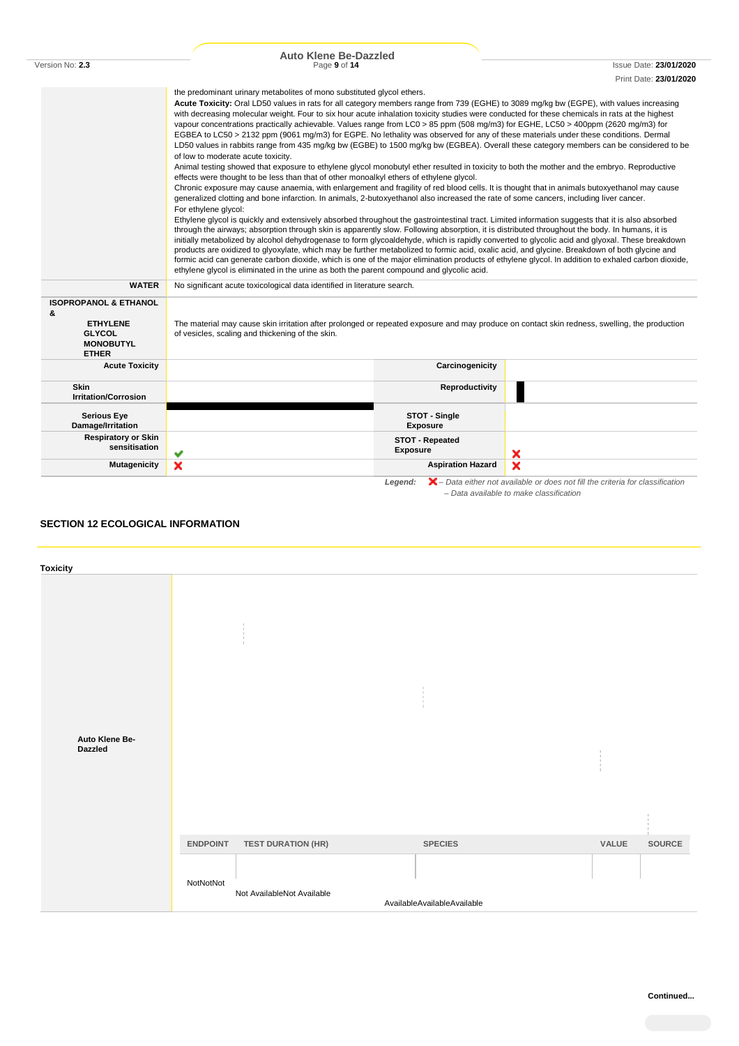|                                                                                                                                                                                                                                                                                                                                                                                                                                                                                                                                                                                                                                                                                                                                                                                                                                                                                                                                                                                                                                                                                                                                                                                                                                                                                                                                                                                                                                                                                                                                                                                                                                                                                                                                                                                                                                                                                                                                                                                                                                                                                                                                                                                                                                                         | <b>Auto Klene Be-Dazzled</b>                                                                                                                                                                      |                                                                                                                                               |  |  |
|---------------------------------------------------------------------------------------------------------------------------------------------------------------------------------------------------------------------------------------------------------------------------------------------------------------------------------------------------------------------------------------------------------------------------------------------------------------------------------------------------------------------------------------------------------------------------------------------------------------------------------------------------------------------------------------------------------------------------------------------------------------------------------------------------------------------------------------------------------------------------------------------------------------------------------------------------------------------------------------------------------------------------------------------------------------------------------------------------------------------------------------------------------------------------------------------------------------------------------------------------------------------------------------------------------------------------------------------------------------------------------------------------------------------------------------------------------------------------------------------------------------------------------------------------------------------------------------------------------------------------------------------------------------------------------------------------------------------------------------------------------------------------------------------------------------------------------------------------------------------------------------------------------------------------------------------------------------------------------------------------------------------------------------------------------------------------------------------------------------------------------------------------------------------------------------------------------------------------------------------------------|---------------------------------------------------------------------------------------------------------------------------------------------------------------------------------------------------|-----------------------------------------------------------------------------------------------------------------------------------------------|--|--|
| Version No: 2.3                                                                                                                                                                                                                                                                                                                                                                                                                                                                                                                                                                                                                                                                                                                                                                                                                                                                                                                                                                                                                                                                                                                                                                                                                                                                                                                                                                                                                                                                                                                                                                                                                                                                                                                                                                                                                                                                                                                                                                                                                                                                                                                                                                                                                                         | Page 9 of 14                                                                                                                                                                                      | Issue Date: 23/01/2020                                                                                                                        |  |  |
|                                                                                                                                                                                                                                                                                                                                                                                                                                                                                                                                                                                                                                                                                                                                                                                                                                                                                                                                                                                                                                                                                                                                                                                                                                                                                                                                                                                                                                                                                                                                                                                                                                                                                                                                                                                                                                                                                                                                                                                                                                                                                                                                                                                                                                                         |                                                                                                                                                                                                   | Print Date: 23/01/2020                                                                                                                        |  |  |
| the predominant urinary metabolites of mono substituted glycol ethers.<br>Acute Toxicity: Oral LD50 values in rats for all category members range from 739 (EGHE) to 3089 mg/kg bw (EGPE), with values increasing<br>with decreasing molecular weight. Four to six hour acute inhalation toxicity studies were conducted for these chemicals in rats at the highest<br>vapour concentrations practically achievable. Values range from LC0 > 85 ppm (508 mg/m3) for EGHE, LC50 > 400ppm (2620 mg/m3) for<br>EGBEA to LC50 > 2132 ppm (9061 mg/m3) for EGPE. No lethality was observed for any of these materials under these conditions. Dermal<br>LD50 values in rabbits range from 435 mg/kg bw (EGBE) to 1500 mg/kg bw (EGBEA). Overall these category members can be considered to be<br>of low to moderate acute toxicity.<br>Animal testing showed that exposure to ethylene glycol monobutyl ether resulted in toxicity to both the mother and the embryo. Reproductive<br>effects were thought to be less than that of other monoalkyl ethers of ethylene glycol.<br>Chronic exposure may cause anaemia, with enlargement and fragility of red blood cells. It is thought that in animals butoxyethanol may cause<br>generalized clotting and bone infarction. In animals, 2-butoxyethanol also increased the rate of some cancers, including liver cancer.<br>For ethylene glycol:<br>Ethylene glycol is quickly and extensively absorbed throughout the gastrointestinal tract. Limited information suggests that it is also absorbed<br>through the airways; absorption through skin is apparently slow. Following absorption, it is distributed throughout the body. In humans, it is<br>initially metabolized by alcohol dehydrogenase to form glycoaldehyde, which is rapidly converted to glycolic acid and glyoxal. These breakdown<br>products are oxidized to glyoxylate, which may be further metabolized to formic acid, oxalic acid, and glycine. Breakdown of both glycine and<br>formic acid can generate carbon dioxide, which is one of the major elimination products of ethylene glycol. In addition to exhaled carbon dioxide,<br>ethylene glycol is eliminated in the urine as both the parent compound and glycolic acid. |                                                                                                                                                                                                   |                                                                                                                                               |  |  |
| <b>WATER</b>                                                                                                                                                                                                                                                                                                                                                                                                                                                                                                                                                                                                                                                                                                                                                                                                                                                                                                                                                                                                                                                                                                                                                                                                                                                                                                                                                                                                                                                                                                                                                                                                                                                                                                                                                                                                                                                                                                                                                                                                                                                                                                                                                                                                                                            | No significant acute toxicological data identified in literature search.                                                                                                                          |                                                                                                                                               |  |  |
| <b>ISOPROPANOL &amp; ETHANOL</b><br>&<br><b>ETHYLENE</b><br><b>GLYCOL</b><br><b>MONOBUTYL</b><br><b>ETHER</b>                                                                                                                                                                                                                                                                                                                                                                                                                                                                                                                                                                                                                                                                                                                                                                                                                                                                                                                                                                                                                                                                                                                                                                                                                                                                                                                                                                                                                                                                                                                                                                                                                                                                                                                                                                                                                                                                                                                                                                                                                                                                                                                                           | The material may cause skin irritation after prolonged or repeated exposure and may produce on contact skin redness, swelling, the production<br>of vesicles, scaling and thickening of the skin. |                                                                                                                                               |  |  |
| <b>Acute Toxicity</b>                                                                                                                                                                                                                                                                                                                                                                                                                                                                                                                                                                                                                                                                                                                                                                                                                                                                                                                                                                                                                                                                                                                                                                                                                                                                                                                                                                                                                                                                                                                                                                                                                                                                                                                                                                                                                                                                                                                                                                                                                                                                                                                                                                                                                                   | Carcinogenicity                                                                                                                                                                                   |                                                                                                                                               |  |  |
| <b>Skin</b><br><b>Irritation/Corrosion</b>                                                                                                                                                                                                                                                                                                                                                                                                                                                                                                                                                                                                                                                                                                                                                                                                                                                                                                                                                                                                                                                                                                                                                                                                                                                                                                                                                                                                                                                                                                                                                                                                                                                                                                                                                                                                                                                                                                                                                                                                                                                                                                                                                                                                              | Reproductivity                                                                                                                                                                                    |                                                                                                                                               |  |  |
| <b>Serious Eye</b><br>Damage/Irritation                                                                                                                                                                                                                                                                                                                                                                                                                                                                                                                                                                                                                                                                                                                                                                                                                                                                                                                                                                                                                                                                                                                                                                                                                                                                                                                                                                                                                                                                                                                                                                                                                                                                                                                                                                                                                                                                                                                                                                                                                                                                                                                                                                                                                 | STOT - Single<br><b>Exposure</b>                                                                                                                                                                  |                                                                                                                                               |  |  |
| <b>Respiratory or Skin</b><br>sensitisation                                                                                                                                                                                                                                                                                                                                                                                                                                                                                                                                                                                                                                                                                                                                                                                                                                                                                                                                                                                                                                                                                                                                                                                                                                                                                                                                                                                                                                                                                                                                                                                                                                                                                                                                                                                                                                                                                                                                                                                                                                                                                                                                                                                                             | <b>STOT - Repeated</b><br><b>Exposure</b>                                                                                                                                                         | ×                                                                                                                                             |  |  |
| <b>Mutagenicity</b>                                                                                                                                                                                                                                                                                                                                                                                                                                                                                                                                                                                                                                                                                                                                                                                                                                                                                                                                                                                                                                                                                                                                                                                                                                                                                                                                                                                                                                                                                                                                                                                                                                                                                                                                                                                                                                                                                                                                                                                                                                                                                                                                                                                                                                     | ×<br><b>Aspiration Hazard</b>                                                                                                                                                                     | ×                                                                                                                                             |  |  |
|                                                                                                                                                                                                                                                                                                                                                                                                                                                                                                                                                                                                                                                                                                                                                                                                                                                                                                                                                                                                                                                                                                                                                                                                                                                                                                                                                                                                                                                                                                                                                                                                                                                                                                                                                                                                                                                                                                                                                                                                                                                                                                                                                                                                                                                         | Legend:                                                                                                                                                                                           | $\blacktriangleright$ – Data either not available or does not fill the criteria for classification<br>- Data available to make classification |  |  |

# **SECTION 12 ECOLOGICAL INFORMATION**

| <b>Toxicity</b>                  |                 |                                |                             |                                     |        |
|----------------------------------|-----------------|--------------------------------|-----------------------------|-------------------------------------|--------|
|                                  |                 | $\mathbb{R}$<br>$\mathbb{R}^n$ |                             |                                     |        |
|                                  |                 |                                | $\pm$<br>$\pm$              |                                     |        |
| Auto Klene Be-<br><b>Dazzled</b> |                 |                                |                             | -11<br>$\pm$<br>$\mathbf{r}$<br>-11 |        |
|                                  |                 |                                |                             |                                     |        |
|                                  | <b>ENDPOINT</b> | <b>TEST DURATION (HR)</b>      | <b>SPECIES</b>              | VALUE                               | SOURCE |
|                                  | NotNotNot       | Not AvailableNot Available     | AvailableAvailableAvailable |                                     |        |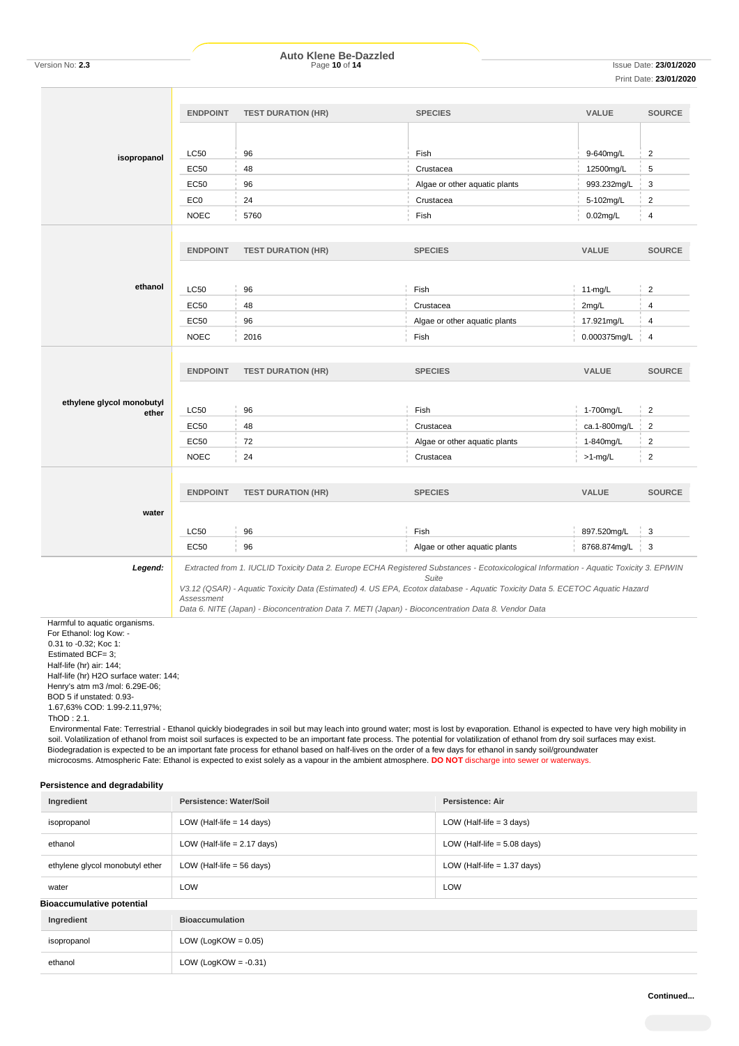|                                                            | <b>ENDPOINT</b> | <b>TEST DURATION (HR)</b>                                                                                                                                                                                                                                                                                                                                                    | <b>SPECIES</b>                | <b>VALUE</b>     | <b>SOURCE</b>  |
|------------------------------------------------------------|-----------------|------------------------------------------------------------------------------------------------------------------------------------------------------------------------------------------------------------------------------------------------------------------------------------------------------------------------------------------------------------------------------|-------------------------------|------------------|----------------|
|                                                            |                 |                                                                                                                                                                                                                                                                                                                                                                              |                               |                  |                |
|                                                            | <b>LC50</b>     | 96                                                                                                                                                                                                                                                                                                                                                                           | Fish                          | 9-640mg/L        | $\overline{2}$ |
| isopropanol                                                |                 | 48                                                                                                                                                                                                                                                                                                                                                                           | Crustacea                     | 12500mg/L        | 5              |
|                                                            | <b>EC50</b>     |                                                                                                                                                                                                                                                                                                                                                                              |                               |                  |                |
|                                                            | <b>EC50</b>     | 96                                                                                                                                                                                                                                                                                                                                                                           | Algae or other aquatic plants | 993.232mg/L      | 3              |
|                                                            | EC <sub>0</sub> | 24                                                                                                                                                                                                                                                                                                                                                                           | Crustacea                     | 5-102mg/L        | 2              |
|                                                            | <b>NOEC</b>     | 5760                                                                                                                                                                                                                                                                                                                                                                         | Fish                          | $0.02$ mg/L      | 4              |
|                                                            |                 |                                                                                                                                                                                                                                                                                                                                                                              |                               |                  |                |
|                                                            | <b>ENDPOINT</b> | <b>TEST DURATION (HR)</b>                                                                                                                                                                                                                                                                                                                                                    | <b>SPECIES</b>                | <b>VALUE</b>     | <b>SOURCE</b>  |
|                                                            |                 |                                                                                                                                                                                                                                                                                                                                                                              |                               |                  |                |
| ethanol                                                    | <b>LC50</b>     | 96                                                                                                                                                                                                                                                                                                                                                                           | Fish                          | $11-mg/L$        | $\overline{2}$ |
|                                                            | <b>EC50</b>     | 48                                                                                                                                                                                                                                                                                                                                                                           | Crustacea                     | 2mg/L            | $\overline{4}$ |
|                                                            | EC50            | 96                                                                                                                                                                                                                                                                                                                                                                           | Algae or other aquatic plants | 17.921mg/L       | $\overline{4}$ |
|                                                            | <b>NOEC</b>     | 2016                                                                                                                                                                                                                                                                                                                                                                         | Fish                          |                  | $\overline{4}$ |
|                                                            |                 |                                                                                                                                                                                                                                                                                                                                                                              |                               | 0.000375mg/L     |                |
|                                                            |                 |                                                                                                                                                                                                                                                                                                                                                                              |                               |                  |                |
|                                                            | <b>ENDPOINT</b> | <b>TEST DURATION (HR)</b>                                                                                                                                                                                                                                                                                                                                                    | <b>SPECIES</b>                | <b>VALUE</b>     | <b>SOURCE</b>  |
|                                                            |                 |                                                                                                                                                                                                                                                                                                                                                                              |                               |                  |                |
| ethylene glycol monobutyl<br>ether                         | <b>LC50</b>     | 96                                                                                                                                                                                                                                                                                                                                                                           | Fish                          | 1-700mg/L        | $\overline{2}$ |
|                                                            | <b>EC50</b>     | 48                                                                                                                                                                                                                                                                                                                                                                           | Crustacea                     | ca.1-800mg/L     | $\overline{2}$ |
|                                                            | <b>EC50</b>     | 72                                                                                                                                                                                                                                                                                                                                                                           | Algae or other aquatic plants | 1-840mg/L        | $\overline{2}$ |
|                                                            | <b>NOEC</b>     | 24                                                                                                                                                                                                                                                                                                                                                                           | Crustacea                     | $>1$ -mg/L       | $\overline{2}$ |
|                                                            |                 |                                                                                                                                                                                                                                                                                                                                                                              |                               |                  |                |
|                                                            |                 |                                                                                                                                                                                                                                                                                                                                                                              |                               |                  |                |
|                                                            | <b>ENDPOINT</b> | <b>TEST DURATION (HR)</b>                                                                                                                                                                                                                                                                                                                                                    | <b>SPECIES</b>                | <b>VALUE</b>     | <b>SOURCE</b>  |
| water                                                      |                 |                                                                                                                                                                                                                                                                                                                                                                              |                               |                  |                |
|                                                            | <b>LC50</b>     | 96                                                                                                                                                                                                                                                                                                                                                                           | Fish                          | 897.520mg/L      | 3              |
|                                                            | <b>EC50</b>     | 96                                                                                                                                                                                                                                                                                                                                                                           | Algae or other aquatic plants | 8768.874mg/L   3 |                |
|                                                            |                 |                                                                                                                                                                                                                                                                                                                                                                              |                               |                  |                |
| Legend:                                                    |                 | Extracted from 1. IUCLID Toxicity Data 2. Europe ECHA Registered Substances - Ecotoxicological Information - Aquatic Toxicity 3. EPIWIN                                                                                                                                                                                                                                      | Suite                         |                  |                |
|                                                            |                 | V3.12 (QSAR) - Aquatic Toxicity Data (Estimated) 4. US EPA, Ecotox database - Aquatic Toxicity Data 5. ECETOC Aquatic Hazard                                                                                                                                                                                                                                                 |                               |                  |                |
|                                                            | Assessment      | Data 6. NITE (Japan) - Bioconcentration Data 7. METI (Japan) - Bioconcentration Data 8. Vendor Data                                                                                                                                                                                                                                                                          |                               |                  |                |
| Harmful to aquatic organisms.                              |                 |                                                                                                                                                                                                                                                                                                                                                                              |                               |                  |                |
| For Ethanol: log Kow: -<br>0.31 to -0.32; Koc 1:           |                 |                                                                                                                                                                                                                                                                                                                                                                              |                               |                  |                |
| Estimated BCF= 3;                                          |                 |                                                                                                                                                                                                                                                                                                                                                                              |                               |                  |                |
| Half-life (hr) air: 144;                                   |                 |                                                                                                                                                                                                                                                                                                                                                                              |                               |                  |                |
| Half-life (hr) H2O surface water: 144;                     |                 |                                                                                                                                                                                                                                                                                                                                                                              |                               |                  |                |
| Henry's atm m3 /mol: 6.29E-06;<br>BOD 5 if unstated: 0.93- |                 |                                                                                                                                                                                                                                                                                                                                                                              |                               |                  |                |
| 1.67,63% COD: 1.99-2.11,97%;                               |                 |                                                                                                                                                                                                                                                                                                                                                                              |                               |                  |                |
| ThOD: 2.1.                                                 |                 |                                                                                                                                                                                                                                                                                                                                                                              |                               |                  |                |
|                                                            |                 | Environmental Fate: Terrestrial - Ethanol quickly biodegrades in soil but may leach into ground water; most is lost by evaporation. Ethanol is expected to have very high mobility in<br>soil. Volatilization of ethanol from moist soil surfaces is expected to be an important fate process. The potential for volatilization of ethanol from dry soil surfaces may exist. |                               |                  |                |
|                                                            |                 | Biodegradation is expected to be an important fate process for ethanol based on half-lives on the order of a few days for ethanol in sandy soil/groundwater                                                                                                                                                                                                                  |                               |                  |                |
|                                                            |                 | microcosms. Atmospheric Fate: Ethanol is expected to exist solely as a vapour in the ambient atmosphere. DO NOT discharge into sewer or waterways.                                                                                                                                                                                                                           |                               |                  |                |

# **Persistence and degradability**

| Ingredient                           | Persistence: Water/Soil<br><b>Persistence: Air</b>           |                               |
|--------------------------------------|--------------------------------------------------------------|-------------------------------|
| isopropanol                          | LOW (Half-life $= 14$ days)                                  | LOW (Half-life $=$ 3 days)    |
| ethanol                              | LOW (Half-life $= 2.17$ days)                                | LOW (Half-life $= 5.08$ days) |
| ethylene glycol monobutyl ether      | LOW (Half-life $= 1.37$ days)<br>LOW (Half-life $=$ 56 days) |                               |
| water                                | LOW<br><b>LOW</b>                                            |                               |
| <b>Bioaccumulative potential</b>     |                                                              |                               |
| <b>Bioaccumulation</b><br>Ingredient |                                                              |                               |
| isopropanol                          | LOW (LogKOW = $0.05$ )                                       |                               |
| ethanol                              | LOW (LogKOW = $-0.31$ )                                      |                               |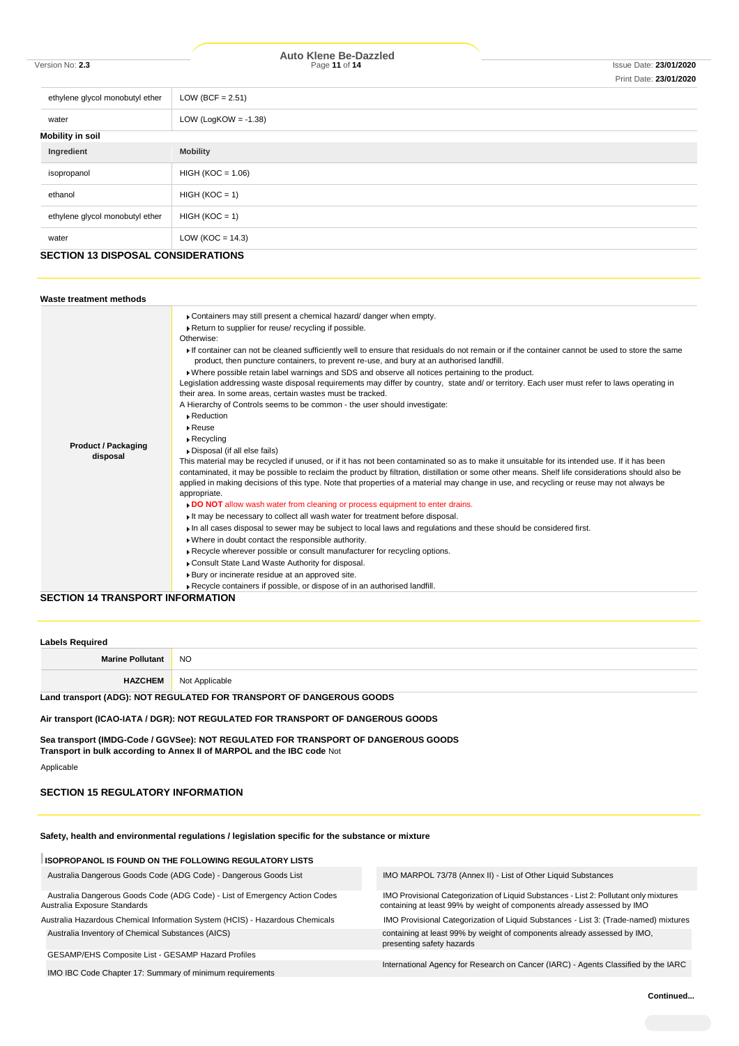# Version No: **2.3** Page **11** of **14** Issue Date: **23/01/2020 Auto Klene Be-Dazzled**

| ethylene glycol monobutyl ether           | LOW (BCF = $2.51$ )     |  |  |
|-------------------------------------------|-------------------------|--|--|
| water                                     | LOW (LogKOW = $-1.38$ ) |  |  |
| <b>Mobility in soil</b>                   |                         |  |  |
| Ingredient                                | <b>Mobility</b>         |  |  |
| isopropanol                               | $HIGH (KOC = 1.06)$     |  |  |
| ethanol                                   | $HIGH (KOC = 1)$        |  |  |
| ethylene glycol monobutyl ether           | $HIGH (KOC = 1)$        |  |  |
| water                                     | LOW ( $KOC = 14.3$ )    |  |  |
| <b>SECTION 13 DISPOSAL CONSIDERATIONS</b> |                         |  |  |

| Waste treatment methods                |                                                                                                                                                                                                                                                                                                                                                                                                                                                                                                                                                                                                                                                                                                                                                                                                                                                                                                                                                                                                                                                                                                                                                                                                                                                                                                                                                                                                                                                                                                                                                                                                                                                                                                                                                                                                                                                                                                                                                              |
|----------------------------------------|--------------------------------------------------------------------------------------------------------------------------------------------------------------------------------------------------------------------------------------------------------------------------------------------------------------------------------------------------------------------------------------------------------------------------------------------------------------------------------------------------------------------------------------------------------------------------------------------------------------------------------------------------------------------------------------------------------------------------------------------------------------------------------------------------------------------------------------------------------------------------------------------------------------------------------------------------------------------------------------------------------------------------------------------------------------------------------------------------------------------------------------------------------------------------------------------------------------------------------------------------------------------------------------------------------------------------------------------------------------------------------------------------------------------------------------------------------------------------------------------------------------------------------------------------------------------------------------------------------------------------------------------------------------------------------------------------------------------------------------------------------------------------------------------------------------------------------------------------------------------------------------------------------------------------------------------------------------|
| <b>Product / Packaging</b><br>disposal | • Containers may still present a chemical hazard/danger when empty.<br>Return to supplier for reuse/ recycling if possible.<br>Otherwise:<br>If container can not be cleaned sufficiently well to ensure that residuals do not remain or if the container cannot be used to store the same<br>product, then puncture containers, to prevent re-use, and bury at an authorised landfill.<br>• Where possible retain label warnings and SDS and observe all notices pertaining to the product.<br>Legislation addressing waste disposal requirements may differ by country, state and/ or territory. Each user must refer to laws operating in<br>their area. In some areas, certain wastes must be tracked.<br>A Hierarchy of Controls seems to be common - the user should investigate:<br>▶ Reduction<br>▶ Reuse<br>$\triangleright$ Recycling<br>Disposal (if all else fails)<br>This material may be recycled if unused, or if it has not been contaminated so as to make it unsuitable for its intended use. If it has been<br>contaminated, it may be possible to reclaim the product by filtration, distillation or some other means. Shelf life considerations should also be<br>applied in making decisions of this type. Note that properties of a material may change in use, and recycling or reuse may not always be<br>appropriate.<br>DO NOT allow wash water from cleaning or process equipment to enter drains.<br>It may be necessary to collect all wash water for treatment before disposal.<br>In all cases disposal to sewer may be subject to local laws and regulations and these should be considered first.<br>. Where in doubt contact the responsible authority.<br>Recycle wherever possible or consult manufacturer for recycling options.<br>Consult State Land Waste Authority for disposal.<br>▶ Bury or incinerate residue at an approved site.<br>Recycle containers if possible, or dispose of in an authorised landfill. |
| SECTION 14 TRANSPORT INFORMATION       |                                                                                                                                                                                                                                                                                                                                                                                                                                                                                                                                                                                                                                                                                                                                                                                                                                                                                                                                                                                                                                                                                                                                                                                                                                                                                                                                                                                                                                                                                                                                                                                                                                                                                                                                                                                                                                                                                                                                                              |

### **SECTION 14 TRANSPORT INFORMATION**

| <b>Labels Required</b>                                               |                               |
|----------------------------------------------------------------------|-------------------------------|
| <b>Marine Pollutant</b>                                              | NO.                           |
|                                                                      | <b>HAZCHEM</b> Not Applicable |
| Land transport (ADG): NOT REGULATED FOR TRANSPORT OF DANGEROUS GOODS |                               |

### **Air transport (ICAO-IATA / DGR): NOT REGULATED FOR TRANSPORT OF DANGEROUS GOODS**

**Sea transport (IMDG-Code / GGVSee): NOT REGULATED FOR TRANSPORT OF DANGEROUS GOODS Transport in bulk according to Annex II of MARPOL and the IBC code** Not

Applicable

# **SECTION 15 REGULATORY INFORMATION**

# **Safety, health and environmental regulations / legislation specific for the substance or mixture**

| <b>ISOPROPANOL IS FOUND ON THE FOLLOWING REGULATORY LISTS</b>                                              |                                                                                                                                                                  |
|------------------------------------------------------------------------------------------------------------|------------------------------------------------------------------------------------------------------------------------------------------------------------------|
| Australia Dangerous Goods Code (ADG Code) - Dangerous Goods List                                           | IMO MARPOL 73/78 (Annex II) - List of Other Liquid Substances                                                                                                    |
| Australia Dangerous Goods Code (ADG Code) - List of Emergency Action Codes<br>Australia Exposure Standards | IMO Provisional Categorization of Liquid Substances - List 2: Pollutant only mixtures<br>containing at least 99% by weight of components already assessed by IMO |
| Australia Hazardous Chemical Information System (HCIS) - Hazardous Chemicals                               | IMO Provisional Categorization of Liquid Substances - List 3: (Trade-named) mixtures                                                                             |
| Australia Inventory of Chemical Substances (AICS)                                                          | containing at least 99% by weight of components already assessed by IMO.<br>presenting safety hazards                                                            |
| GESAMP/EHS Composite List - GESAMP Hazard Profiles                                                         |                                                                                                                                                                  |
| IMO IBC Code Chapter 17: Summary of minimum requirements                                                   | International Agency for Research on Cancer (IARC) - Agents Classified by the IARC                                                                               |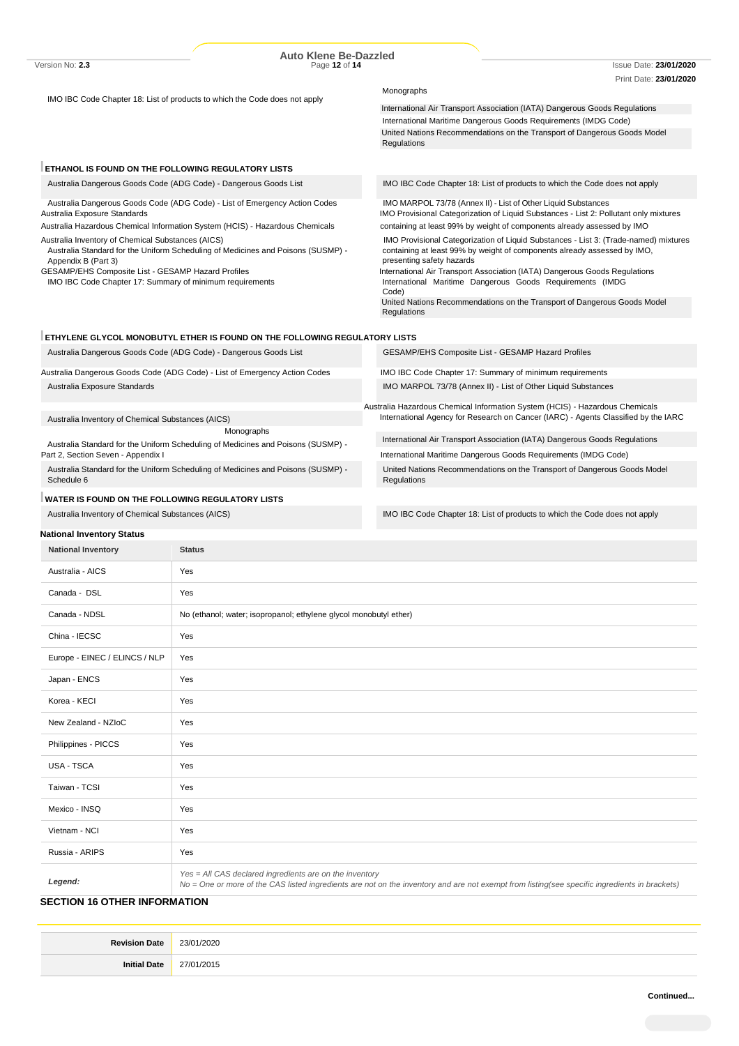|                                                                                                                                                                                                                    | <b>Auto Klene Be-Dazzled</b>                                                 |                                                                                                                                                                                                                                                                             |
|--------------------------------------------------------------------------------------------------------------------------------------------------------------------------------------------------------------------|------------------------------------------------------------------------------|-----------------------------------------------------------------------------------------------------------------------------------------------------------------------------------------------------------------------------------------------------------------------------|
| Version No: 2.3                                                                                                                                                                                                    | Page 12 of 14                                                                | <b>Issue Date: 23/01/2020</b>                                                                                                                                                                                                                                               |
|                                                                                                                                                                                                                    |                                                                              | Print Date: 23/01/2020<br>Monographs                                                                                                                                                                                                                                        |
| IMO IBC Code Chapter 18: List of products to which the Code does not apply                                                                                                                                         |                                                                              |                                                                                                                                                                                                                                                                             |
|                                                                                                                                                                                                                    |                                                                              | International Air Transport Association (IATA) Dangerous Goods Regulations                                                                                                                                                                                                  |
|                                                                                                                                                                                                                    |                                                                              | International Maritime Dangerous Goods Requirements (IMDG Code)                                                                                                                                                                                                             |
|                                                                                                                                                                                                                    |                                                                              | United Nations Recommendations on the Transport of Dangerous Goods Model<br>Regulations                                                                                                                                                                                     |
| ETHANOL IS FOUND ON THE FOLLOWING REGULATORY LISTS                                                                                                                                                                 |                                                                              |                                                                                                                                                                                                                                                                             |
|                                                                                                                                                                                                                    | Australia Dangerous Goods Code (ADG Code) - Dangerous Goods List             | IMO IBC Code Chapter 18: List of products to which the Code does not apply                                                                                                                                                                                                  |
| Australia Exposure Standards                                                                                                                                                                                       | Australia Dangerous Goods Code (ADG Code) - List of Emergency Action Codes   | IMO MARPOL 73/78 (Annex II) - List of Other Liquid Substances<br>IMO Provisional Categorization of Liquid Substances - List 2: Pollutant only mixtures                                                                                                                      |
|                                                                                                                                                                                                                    | Australia Hazardous Chemical Information System (HCIS) - Hazardous Chemicals | containing at least 99% by weight of components already assessed by IMO                                                                                                                                                                                                     |
| Australia Inventory of Chemical Substances (AICS)<br>Australia Standard for the Uniform Scheduling of Medicines and Poisons (SUSMP) -<br>Appendix B (Part 3)<br>GESAMP/EHS Composite List - GESAMP Hazard Profiles |                                                                              | IMO Provisional Categorization of Liquid Substances - List 3: (Trade-named) mixtures<br>containing at least 99% by weight of components already assessed by IMO,<br>presenting safety hazards<br>International Air Transport Association (IATA) Dangerous Goods Regulations |
| IMO IBC Code Chapter 17: Summary of minimum requirements                                                                                                                                                           |                                                                              | International Maritime Dangerous Goods Requirements (IMDG<br>Code)                                                                                                                                                                                                          |
|                                                                                                                                                                                                                    |                                                                              | United Nations Recommendations on the Transport of Dangerous Goods Model<br>Regulations                                                                                                                                                                                     |
|                                                                                                                                                                                                                    | ETHYLENE GLYCOL MONOBUTYL ETHER IS FOUND ON THE FOLLOWING REGULATORY LISTS   |                                                                                                                                                                                                                                                                             |
|                                                                                                                                                                                                                    | Australia Dangerous Goods Code (ADG Code) - Dangerous Goods List             | <b>GESAMP/EHS Composite List - GESAMP Hazard Profiles</b>                                                                                                                                                                                                                   |
|                                                                                                                                                                                                                    | Australia Dangerous Goods Code (ADG Code) - List of Emergency Action Codes   | IMO IBC Code Chapter 17: Summary of minimum requirements                                                                                                                                                                                                                    |
| Australia Exposure Standards                                                                                                                                                                                       |                                                                              | IMO MARPOL 73/78 (Annex II) - List of Other Liquid Substances                                                                                                                                                                                                               |
|                                                                                                                                                                                                                    |                                                                              | Australia Hazardous Chemical Information System (HCIS) - Hazardous Chemicals                                                                                                                                                                                                |
| Australia Inventory of Chemical Substances (AICS)                                                                                                                                                                  |                                                                              | International Agency for Research on Cancer (IARC) - Agents Classified by the IARC                                                                                                                                                                                          |
|                                                                                                                                                                                                                    | Monographs                                                                   | International Air Transport Association (IATA) Dangerous Goods Regulations                                                                                                                                                                                                  |
| Australia Standard for the Uniform Scheduling of Medicines and Poisons (SUSMP) -<br>Part 2, Section Seven - Appendix I                                                                                             |                                                                              | International Maritime Dangerous Goods Requirements (IMDG Code)                                                                                                                                                                                                             |
| Australia Standard for the Uniform Scheduling of Medicines and Poisons (SUSMP) -<br>Schedule 6                                                                                                                     |                                                                              | United Nations Recommendations on the Transport of Dangerous Goods Model<br>Regulations                                                                                                                                                                                     |
| WATER IS FOUND ON THE FOLLOWING REGULATORY LISTS                                                                                                                                                                   |                                                                              |                                                                                                                                                                                                                                                                             |
| Australia Inventory of Chemical Substances (AICS)                                                                                                                                                                  |                                                                              | IMO IBC Code Chapter 18: List of products to which the Code does not apply                                                                                                                                                                                                  |
| <b>National Inventory Status</b>                                                                                                                                                                                   |                                                                              |                                                                                                                                                                                                                                                                             |
| <b>National Inventory</b>                                                                                                                                                                                          | <b>Status</b>                                                                |                                                                                                                                                                                                                                                                             |
| Australia - AICS                                                                                                                                                                                                   | Yes                                                                          |                                                                                                                                                                                                                                                                             |
| Canada - DSL                                                                                                                                                                                                       | Yes                                                                          |                                                                                                                                                                                                                                                                             |
| Canada - NDSL                                                                                                                                                                                                      | No (ethanol; water; isopropanol; ethylene glycol monobutyl ether)            |                                                                                                                                                                                                                                                                             |
| China - IECSC                                                                                                                                                                                                      | Yes                                                                          |                                                                                                                                                                                                                                                                             |

| Canada - NDSL                 | No (ethanol; water; isopropanol; ethylene glycol monobutyl ether)                                                                                                                                        |
|-------------------------------|----------------------------------------------------------------------------------------------------------------------------------------------------------------------------------------------------------|
| China - IECSC                 | Yes                                                                                                                                                                                                      |
| Europe - EINEC / ELINCS / NLP | Yes                                                                                                                                                                                                      |
| Japan - ENCS                  | Yes                                                                                                                                                                                                      |
| Korea - KECI                  | Yes                                                                                                                                                                                                      |
| New Zealand - NZIoC           | Yes                                                                                                                                                                                                      |
| Philippines - PICCS           | Yes                                                                                                                                                                                                      |
| <b>USA - TSCA</b>             | Yes                                                                                                                                                                                                      |
| Taiwan - TCSI                 | Yes                                                                                                                                                                                                      |
| Mexico - INSQ                 | Yes                                                                                                                                                                                                      |
| Vietnam - NCI                 | Yes                                                                                                                                                                                                      |
| Russia - ARIPS                | Yes                                                                                                                                                                                                      |
| Legend:                       | Yes = All CAS declared ingredients are on the inventory<br>No = One or more of the CAS listed ingredients are not on the inventory and are not exempt from listing(see specific ingredients in brackets) |

# **SECTION 16 OTHER INFORMATION**

| <b>Revision Date</b> | 23/01/2020 |
|----------------------|------------|
| <b>Initial Date</b>  | 27/01/2015 |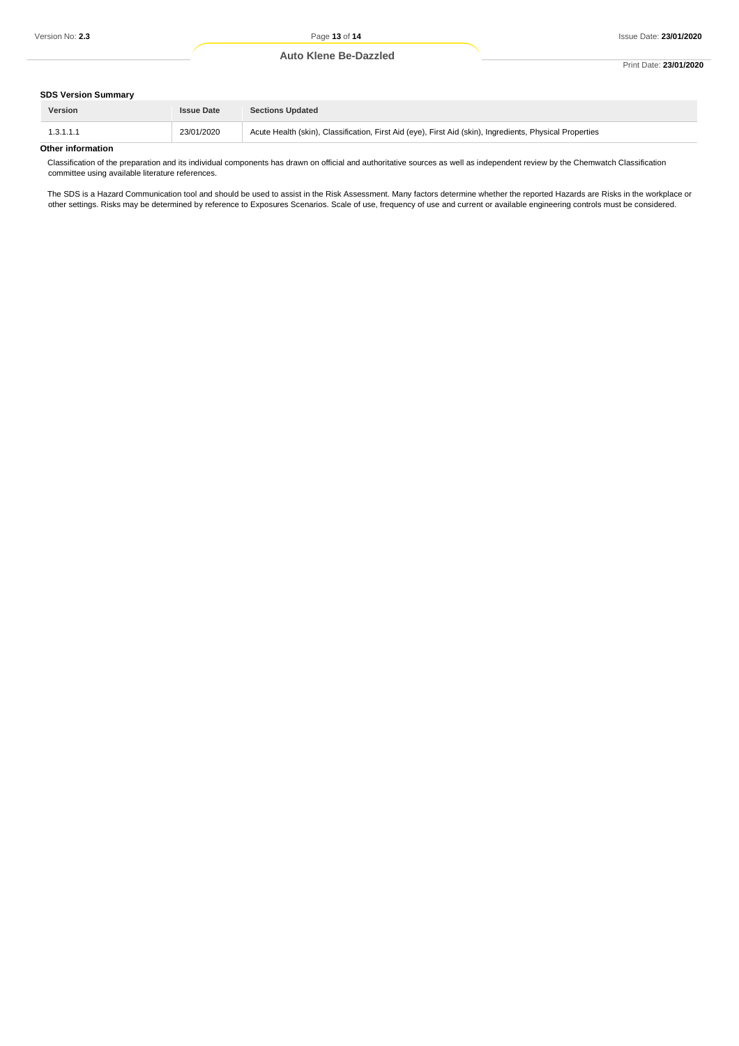## **Auto Klene Be-Dazzled**

#### Print Date: **23/01/2020**

### **SDS Version Summary**

| __________________<br><b>Version</b> | <b>Issue Date</b> | <b>Sections Updated</b>                                                                                  |
|--------------------------------------|-------------------|----------------------------------------------------------------------------------------------------------|
| 1.3.1.1.1                            | 23/01/2020        | Acute Health (skin), Classification, First Aid (eye), First Aid (skin), Ingredients, Physical Properties |
| Other information                    |                   |                                                                                                          |

### **Other information**

Classification of the preparation and its individual components has drawn on official and authoritative sources as well as independent review by the Chemwatch Classification committee using available literature references.

The SDS is a Hazard Communication tool and should be used to assist in the Risk Assessment. Many factors determine whether the reported Hazards are Risks in the workplace or other settings. Risks may be determined by reference to Exposures Scenarios. Scale of use, frequency of use and current or available engineering controls must be considered.